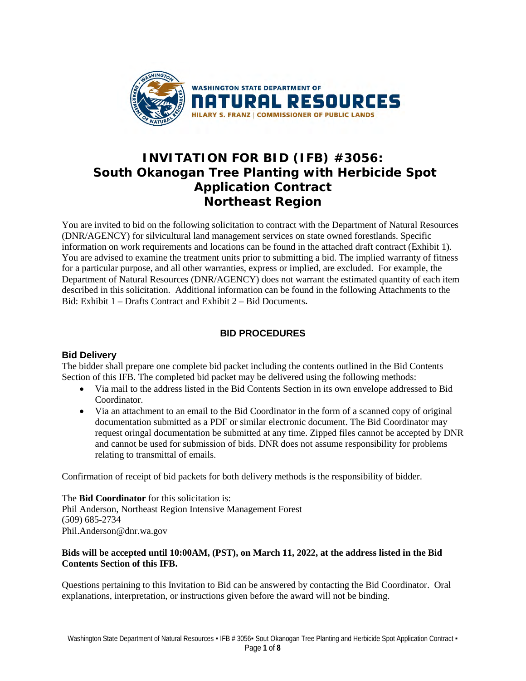

## **INVITATION FOR BID (IFB) #3056: South Okanogan Tree Planting with Herbicide Spot Application Contract Northeast Region**

You are invited to bid on the following solicitation to contract with the Department of Natural Resources (DNR/AGENCY) for silvicultural land management services on state owned forestlands. Specific information on work requirements and locations can be found in the attached draft contract (Exhibit 1). You are advised to examine the treatment units prior to submitting a bid. The implied warranty of fitness for a particular purpose, and all other warranties, express or implied, are excluded. For example, the Department of Natural Resources (DNR/AGENCY) does not warrant the estimated quantity of each item described in this solicitation. Additional information can be found in the following Attachments to the Bid: Exhibit 1 – Drafts Contract and Exhibit 2 – Bid Documents**.** 

### **BID PROCEDURES**

#### **Bid Delivery**

The bidder shall prepare one complete bid packet including the contents outlined in the Bid Contents Section of this IFB. The completed bid packet may be delivered using the following methods:

- Via mail to the address listed in the Bid Contents Section in its own envelope addressed to Bid **Coordinator**
- Via an attachment to an email to the Bid Coordinator in the form of a scanned copy of original documentation submitted as a PDF or similar electronic document. The Bid Coordinator may request oringal documentation be submitted at any time. Zipped files cannot be accepted by DNR and cannot be used for submission of bids. DNR does not assume responsibility for problems relating to transmittal of emails.

Confirmation of receipt of bid packets for both delivery methods is the responsibility of bidder.

The **Bid Coordinator** for this solicitation is: Phil Anderson, Northeast Region Intensive Management Forest (509) 685-2734 Phil.Anderson@dnr.wa.gov

#### **Bids will be accepted until 10:00AM, (PST), on March 11, 2022, at the address listed in the Bid Contents Section of this IFB.**

Questions pertaining to this Invitation to Bid can be answered by contacting the Bid Coordinator. Oral explanations, interpretation, or instructions given before the award will not be binding.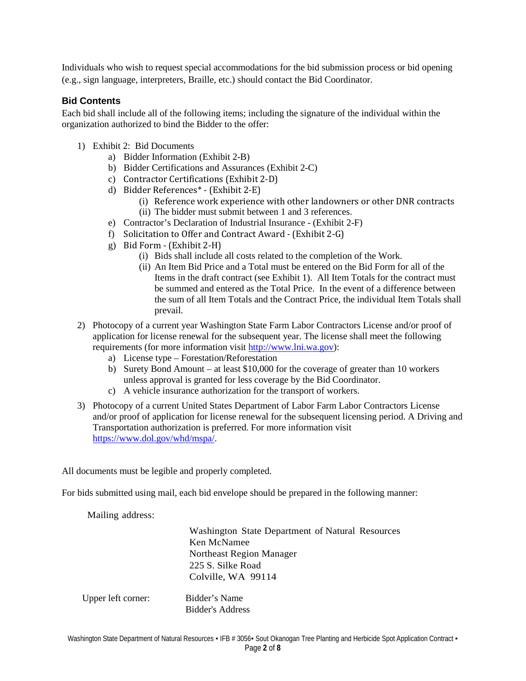Individuals who wish to request special accommodations for the bid submission process or bid opening (e.g., sign language, interpreters, Braille, etc.) should contact the Bid Coordinator.

#### **Bid Contents**

Each bid shall include all of the following items; including the signature of the individual within the organization authorized to bind the Bidder to the offer:

- 1) Exhibit 2: Bid Documents
	- a) Bidder Information (Exhibit 2-B)
	- b) Bidder Certifications and Assurances (Exhibit 2-C)
	- c) Contractor Certifications (Exhibit 2-D)
	- d) Bidder References\* (Exhibit 2-E)
		- (i) Reference work experience with other landowners or other DNR contracts (ii) The bidder must submit between 1 and 3 references.
	- e) Contractor's Declaration of Industrial Insurance (Exhibit 2-F)
	- f) Solicitation to Offer and Contract Award (Exhibit 2-G)
	- g) Bid Form (Exhibit 2-H)
		- (i) Bids shall include all costs related to the completion of the Work.
		- (ii) An Item Bid Price and a Total must be entered on the Bid Form for all of the Items in the draft contract (see Exhibit 1). All Item Totals for the contract must be summed and entered as the Total Price. In the event of a difference between the sum of all Item Totals and the Contract Price, the individual Item Totals shall prevail.
- 2) Photocopy of a current year Washington State Farm Labor Contractors License and/or proof of application for license renewal for the subsequent year. The license shall meet the following requirements (for more information visit [http://www.lni.wa.gov\)](http://www.lni.wa.gov/):
	- a) License type Forestation/Reforestation
	- b) Surety Bond Amount at least \$10,000 for the coverage of greater than 10 workers unless approval is granted for less coverage by the Bid Coordinator.
	- c) A vehicle insurance authorization for the transport of workers.
- 3) Photocopy of a current United States Department of Labor Farm Labor Contractors License and/or proof of application for license renewal for the subsequent licensing period. A Driving and Transportation authorization is preferred. For more information visit [https://www.dol.gov/whd/mspa/.](https://www.dol.gov/whd/mspa/)

All documents must be legible and properly completed.

For bids submitted using mail, each bid envelope should be prepared in the following manner:

Mailing address:

Washington State Department of Natural Resources Ken McNamee Northeast Region Manager 225 S. Silke Road Colville, WA 99114

Upper left corner: Bidder's Name Bidder's Address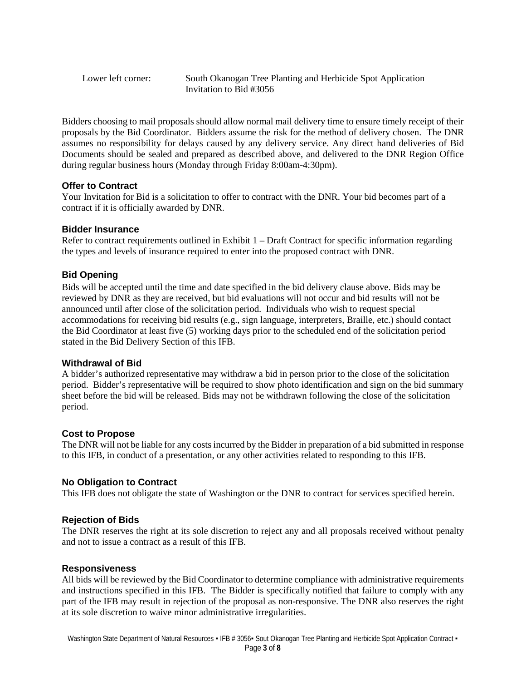Lower left corner: South Okanogan Tree Planting and Herbicide Spot Application Invitation to Bid #3056

Bidders choosing to mail proposals should allow normal mail delivery time to ensure timely receipt of their proposals by the Bid Coordinator. Bidders assume the risk for the method of delivery chosen. The DNR assumes no responsibility for delays caused by any delivery service. Any direct hand deliveries of Bid Documents should be sealed and prepared as described above, and delivered to the DNR Region Office during regular business hours (Monday through Friday 8:00am-4:30pm).

#### **Offer to Contract**

Your Invitation for Bid is a solicitation to offer to contract with the DNR. Your bid becomes part of a contract if it is officially awarded by DNR.

#### **Bidder Insurance**

 Refer to contract requirements outlined in Exhibit 1 – Draft Contract for specific information regarding the types and levels of insurance required to enter into the proposed contract with DNR.

### **Bid Opening**

Bids will be accepted until the time and date specified in the bid delivery clause above. Bids may be reviewed by DNR as they are received, but bid evaluations will not occur and bid results will not be announced until after close of the solicitation period. Individuals who wish to request special accommodations for receiving bid results (e.g., sign language, interpreters, Braille, etc.) should contact the Bid Coordinator at least five (5) working days prior to the scheduled end of the solicitation period stated in the Bid Delivery Section of this IFB.

#### **Withdrawal of Bid**

A bidder's authorized representative may withdraw a bid in person prior to the close of the solicitation period. Bidder's representative will be required to show photo identification and sign on the bid summary sheet before the bid will be released. Bids may not be withdrawn following the close of the solicitation period.

#### **Cost to Propose**

The DNR will not be liable for any costs incurred by the Bidder in preparation of a bid submitted in response to this IFB, in conduct of a presentation, or any other activities related to responding to this IFB.

#### **No Obligation to Contract**

This IFB does not obligate the state of Washington or the DNR to contract for services specified herein.

#### **Rejection of Bids**

The DNR reserves the right at its sole discretion to reject any and all proposals received without penalty and not to issue a contract as a result of this IFB.

#### **Responsiveness**

All bids will be reviewed by the Bid Coordinator to determine compliance with administrative requirements and instructions specified in this IFB. The Bidder is specifically notified that failure to comply with any part of the IFB may result in rejection of the proposal as non-responsive. The DNR also reserves the right at its sole discretion to waive minor administrative irregularities.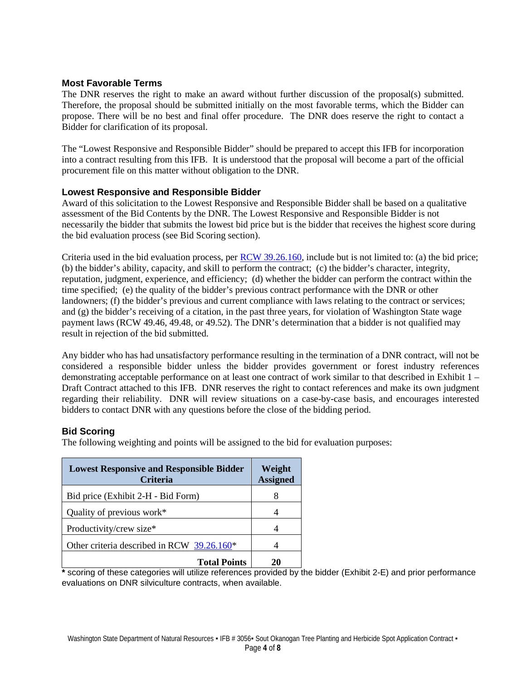#### **Most Favorable Terms**

The DNR reserves the right to make an award without further discussion of the proposal(s) submitted. Therefore, the proposal should be submitted initially on the most favorable terms, which the Bidder can propose. There will be no best and final offer procedure. The DNR does reserve the right to contact a Bidder for clarification of its proposal.

The "Lowest Responsive and Responsible Bidder" should be prepared to accept this IFB for incorporation into a contract resulting from this IFB. It is understood that the proposal will become a part of the official procurement file on this matter without obligation to the DNR.

#### **Lowest Responsive and Responsible Bidder**

Award of this solicitation to the Lowest Responsive and Responsible Bidder shall be based on a qualitative assessment of the Bid Contents by the DNR. The Lowest Responsive and Responsible Bidder is not necessarily the bidder that submits the lowest bid price but is the bidder that receives the highest score during the bid evaluation process (see Bid Scoring section).

Criteria used in the bid evaluation process, per [RCW 39.26.160,](http://apps.leg.wa.gov/rcw/default.aspx?cite=39.26.160) include but is not limited to: (a) the bid price; (b) the bidder's ability, capacity, and skill to perform the contract; (c) the bidder's character, integrity, reputation, judgment, experience, and efficiency; (d) whether the bidder can perform the contract within the time specified; (e) the quality of the bidder's previous contract performance with the DNR or other landowners; (f) the bidder's previous and current compliance with laws relating to the contract or services; and (g) the bidder's receiving of a citation, in the past three years, for violation of Washington State wage payment laws (RCW 49.46, 49.48, or 49.52). The DNR's determination that a bidder is not qualified may result in rejection of the bid submitted.

Any bidder who has had unsatisfactory performance resulting in the termination of a DNR contract, will not be considered a responsible bidder unless the bidder provides government or forest industry references demonstrating acceptable performance on at least one contract of work similar to that described in Exhibit 1 – Draft Contract attached to this IFB. DNR reserves the right to contact references and make its own judgment regarding their reliability. DNR will review situations on a case-by-case basis, and encourages interested bidders to contact DNR with any questions before the close of the bidding period.

#### **Bid Scoring**

The following weighting and points will be assigned to the bid for evaluation purposes:

| <b>Lowest Responsive and Responsible Bidder</b><br><b>Criteria</b> | Weight<br><b>Assigned</b> |
|--------------------------------------------------------------------|---------------------------|
| Bid price (Exhibit 2-H - Bid Form)                                 | 8                         |
| Quality of previous work*                                          |                           |
| Productivity/crew size*                                            |                           |
| Other criteria described in RCW 39.26.160*                         |                           |
| <b>Total Points</b>                                                | 20                        |

**\*** scoring of these categories will utilize references provided by the bidder (Exhibit 2-E) and prior performance evaluations on DNR silviculture contracts, when available.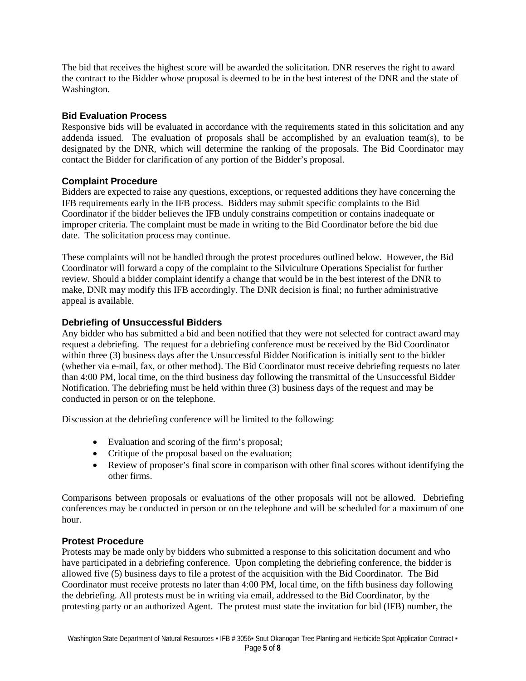The bid that receives the highest score will be awarded the solicitation. DNR reserves the right to award the contract to the Bidder whose proposal is deemed to be in the best interest of the DNR and the state of Washington.

#### **Bid Evaluation Process**

Responsive bids will be evaluated in accordance with the requirements stated in this solicitation and any addenda issued. The evaluation of proposals shall be accomplished by an evaluation team(s), to be designated by the DNR, which will determine the ranking of the proposals. The Bid Coordinator may contact the Bidder for clarification of any portion of the Bidder's proposal.

#### **Complaint Procedure**

Bidders are expected to raise any questions, exceptions, or requested additions they have concerning the IFB requirements early in the IFB process. Bidders may submit specific complaints to the Bid Coordinator if the bidder believes the IFB unduly constrains competition or contains inadequate or improper criteria. The complaint must be made in writing to the Bid Coordinator before the bid due date. The solicitation process may continue.

These complaints will not be handled through the protest procedures outlined below. However, the Bid Coordinator will forward a copy of the complaint to the Silviculture Operations Specialist for further review. Should a bidder complaint identify a change that would be in the best interest of the DNR to make, DNR may modify this IFB accordingly. The DNR decision is final; no further administrative appeal is available.

#### **Debriefing of Unsuccessful Bidders**

Any bidder who has submitted a bid and been notified that they were not selected for contract award may request a debriefing. The request for a debriefing conference must be received by the Bid Coordinator within three (3) business days after the Unsuccessful Bidder Notification is initially sent to the bidder (whether via e-mail, fax, or other method). The Bid Coordinator must receive debriefing requests no later than 4:00 PM, local time, on the third business day following the transmittal of the Unsuccessful Bidder Notification. The debriefing must be held within three (3) business days of the request and may be conducted in person or on the telephone.

Discussion at the debriefing conference will be limited to the following:

- Evaluation and scoring of the firm's proposal;
- Critique of the proposal based on the evaluation;
- Review of proposer's final score in comparison with other final scores without identifying the other firms.

Comparisons between proposals or evaluations of the other proposals will not be allowed. Debriefing conferences may be conducted in person or on the telephone and will be scheduled for a maximum of one hour.

#### **Protest Procedure**

Protests may be made only by bidders who submitted a response to this solicitation document and who have participated in a debriefing conference. Upon completing the debriefing conference, the bidder is allowed five (5) business days to file a protest of the acquisition with the Bid Coordinator. The Bid Coordinator must receive protests no later than 4:00 PM, local time, on the fifth business day following the debriefing. All protests must be in writing via email, addressed to the Bid Coordinator, by the protesting party or an authorized Agent. The protest must state the invitation for bid (IFB) number, the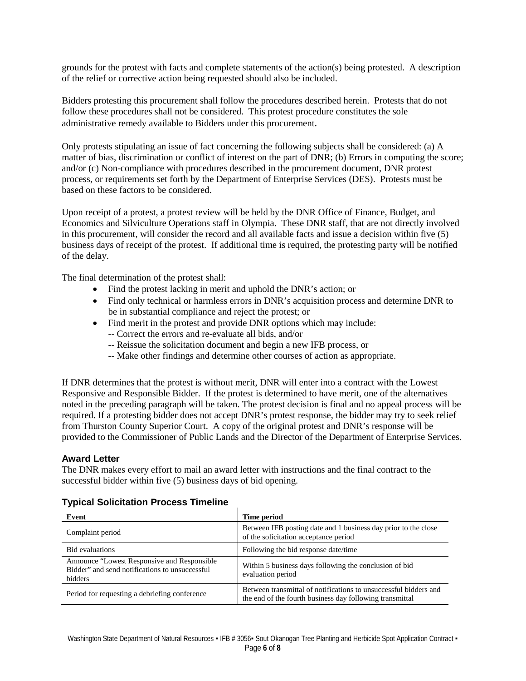grounds for the protest with facts and complete statements of the action(s) being protested. A description of the relief or corrective action being requested should also be included.

Bidders protesting this procurement shall follow the procedures described herein. Protests that do not follow these procedures shall not be considered. This protest procedure constitutes the sole administrative remedy available to Bidders under this procurement.

Only protests stipulating an issue of fact concerning the following subjects shall be considered: (a) A matter of bias, discrimination or conflict of interest on the part of DNR; (b) Errors in computing the score; and/or (c) Non-compliance with procedures described in the procurement document, DNR protest process, or requirements set forth by the Department of Enterprise Services (DES). Protests must be based on these factors to be considered.

Upon receipt of a protest, a protest review will be held by the DNR Office of Finance, Budget, and Economics and Silviculture Operations staff in Olympia. These DNR staff, that are not directly involved in this procurement, will consider the record and all available facts and issue a decision within five (5) business days of receipt of the protest. If additional time is required, the protesting party will be notified of the delay.

The final determination of the protest shall:

- Find the protest lacking in merit and uphold the DNR's action; or
- Find only technical or harmless errors in DNR's acquisition process and determine DNR to be in substantial compliance and reject the protest; or
- Find merit in the protest and provide DNR options which may include:
	- -- Correct the errors and re-evaluate all bids, and/or
	- -- Reissue the solicitation document and begin a new IFB process, or
	- -- Make other findings and determine other courses of action as appropriate.

If DNR determines that the protest is without merit, DNR will enter into a contract with the Lowest Responsive and Responsible Bidder. If the protest is determined to have merit, one of the alternatives noted in the preceding paragraph will be taken. The protest decision is final and no appeal process will be required. If a protesting bidder does not accept DNR's protest response, the bidder may try to seek relief from Thurston County Superior Court. A copy of the original protest and DNR's response will be provided to the Commissioner of Public Lands and the Director of the Department of Enterprise Services.

#### **Award Letter**

The DNR makes every effort to mail an award letter with instructions and the final contract to the successful bidder within five (5) business days of bid opening.

#### **Typical Solicitation Process Timeline**

| Event                                                                                                     | Time period                                                                                                                  |
|-----------------------------------------------------------------------------------------------------------|------------------------------------------------------------------------------------------------------------------------------|
| Complaint period                                                                                          | Between IFB posting date and 1 business day prior to the close<br>of the solicitation acceptance period                      |
| <b>Bid</b> evaluations                                                                                    | Following the bid response date/time                                                                                         |
| Announce "Lowest Responsive and Responsible"<br>Bidder" and send notifications to unsuccessful<br>bidders | Within 5 business days following the conclusion of bid<br>evaluation period                                                  |
| Period for requesting a debriefing conference                                                             | Between transmittal of notifications to unsuccessful bidders and<br>the end of the fourth business day following transmittal |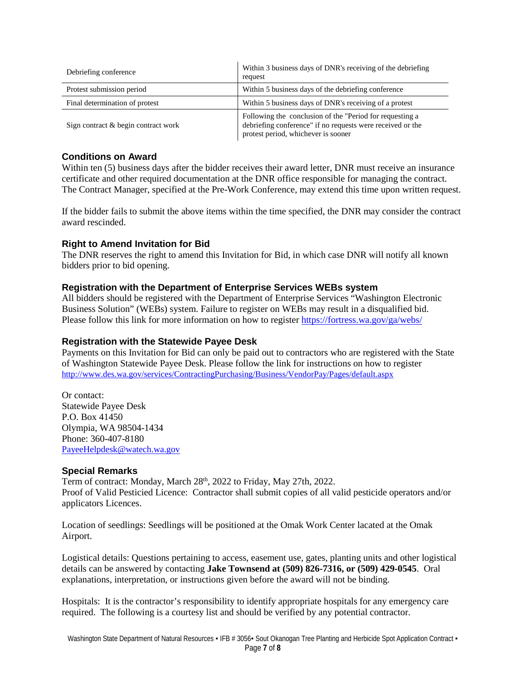| Debriefing conference               | Within 3 business days of DNR's receiving of the debriefing<br>request                                                                                        |  |  |  |  |  |
|-------------------------------------|---------------------------------------------------------------------------------------------------------------------------------------------------------------|--|--|--|--|--|
| Protest submission period           | Within 5 business days of the debriefing conference                                                                                                           |  |  |  |  |  |
| Final determination of protest      | Within 5 business days of DNR's receiving of a protest                                                                                                        |  |  |  |  |  |
| Sign contract & begin contract work | Following the conclusion of the "Period for requesting a<br>debriefing conference" if no requests were received or the<br>protest period, whichever is sooner |  |  |  |  |  |

#### **Conditions on Award**

Within ten (5) business days after the bidder receives their award letter, DNR must receive an insurance certificate and other required documentation at the DNR office responsible for managing the contract. The Contract Manager, specified at the Pre-Work Conference, may extend this time upon written request.

If the bidder fails to submit the above items within the time specified, the DNR may consider the contract award rescinded.

#### **Right to Amend Invitation for Bid**

The DNR reserves the right to amend this Invitation for Bid, in which case DNR will notify all known bidders prior to bid opening.

#### **Registration with the Department of Enterprise Services WEBs system**

All bidders should be registered with the Department of Enterprise Services "Washington Electronic Business Solution" (WEBs) system. Failure to register on WEBs may result in a disqualified bid. Please follow this link for more information on how to register <https://fortress.wa.gov/ga/webs/>

#### **Registration with the Statewide Payee Desk**

Payments on this Invitation for Bid can only be paid out to contractors who are registered with the State of Washington Statewide Payee Desk. Please follow the link for instructions on how to register <http://www.des.wa.gov/services/ContractingPurchasing/Business/VendorPay/Pages/default.aspx>

Or contact: Statewide Payee Desk P.O. Box 41450 Olympia, WA 98504-1434 Phone: 360-407-8180 [PayeeHelpdesk@watech.wa.gov](mailto:PayeeHelpdesk@watech.wa.gov) 

#### **Special Remarks**

Term of contract: Monday, March 28<sup>th</sup>, 2022 to Friday, May 27th, 2022. Proof of Valid Pesticied Licence: Contractor shall submit copies of all valid pesticide operators and/or applicators Licences.

Location of seedlings: Seedlings will be positioned at the Omak Work Center lacated at the Omak Airport.

Logistical details: Questions pertaining to access, easement use, gates, planting units and other logistical details can be answered by contacting **Jake Townsend at (509) 826-7316, or (509) 429-0545**. Oral explanations, interpretation, or instructions given before the award will not be binding.

Hospitals: It is the contractor's responsibility to identify appropriate hospitals for any emergency care required. The following is a courtesy list and should be verified by any potential contractor.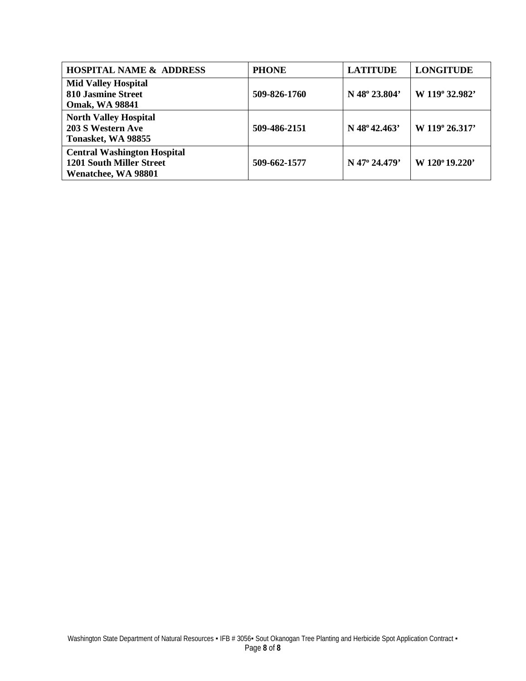| <b>HOSPITAL NAME &amp; ADDRESS</b>                                                           | <b>PHONE</b> | <b>LATITUDE</b> | <b>LONGITUDE</b> |
|----------------------------------------------------------------------------------------------|--------------|-----------------|------------------|
| <b>Mid Valley Hospital</b><br><b>810 Jasmine Street</b><br><b>Omak, WA 98841</b>             | 509-826-1760 | N 48° 23.804'   | W 119° 32.982'   |
| <b>North Valley Hospital</b><br>203 S Western Ave<br>Tonasket, WA 98855                      | 509-486-2151 | $N$ 48° 42.463' | W 119° 26.317'   |
| <b>Central Washington Hospital</b><br><b>1201 South Miller Street</b><br>Wenatchee, WA 98801 | 509-662-1577 | N 47° 24.479'   | W 120°19.220'    |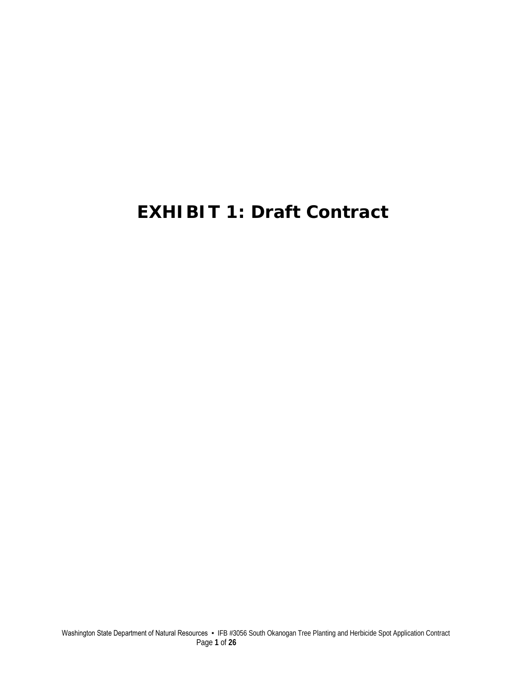# **EXHIBIT 1: Draft Contract**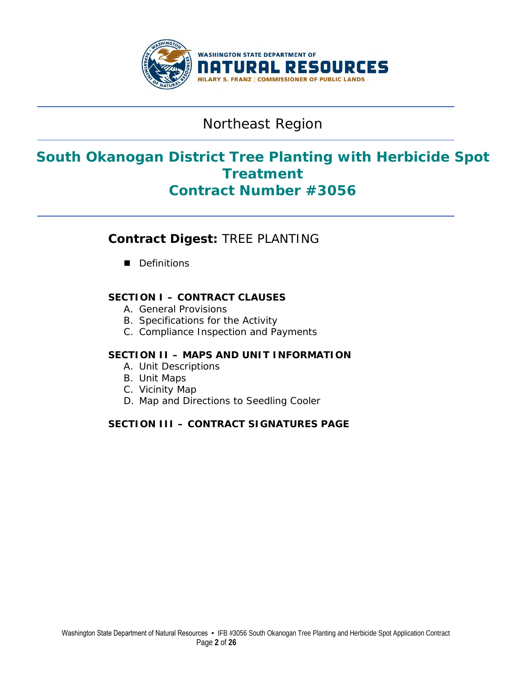

## Northeast Region

## **South Okanogan District Tree Planting with Herbicide Spot Treatment Contract Number #3056**

## **Contract Digest:** TREE PLANTING

Definitions

### **SECTION I – CONTRACT CLAUSES**

- A. General Provisions
- B. Specifications for the Activity
- C. Compliance Inspection and Payments

#### **SECTION II – MAPS AND UNIT INFORMATION**

- A. Unit Descriptions
- B. Unit Maps
- C. Vicinity Map
- D. Map and Directions to Seedling Cooler

### **SECTION III – CONTRACT SIGNATURES PAGE**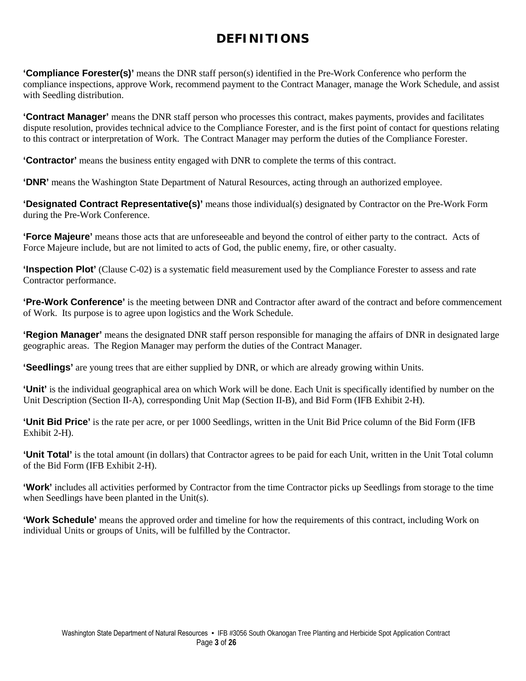## **DEFINITIONS**

**'Compliance Forester(s)'** means the DNR staff person(s) identified in the Pre-Work Conference who perform the compliance inspections, approve Work, recommend payment to the Contract Manager, manage the Work Schedule, and assist with Seedling distribution.

**'Contract Manager'** means the DNR staff person who processes this contract, makes payments, provides and facilitates dispute resolution, provides technical advice to the Compliance Forester, and is the first point of contact for questions relating to this contract or interpretation of Work. The Contract Manager may perform the duties of the Compliance Forester.

**'Contractor'** means the business entity engaged with DNR to complete the terms of this contract.

**'DNR'** means the Washington State Department of Natural Resources, acting through an authorized employee.

**'Designated Contract Representative(s)'** means those individual(s) designated by Contractor on the Pre-Work Form during the Pre-Work Conference.

**'Force Majeure'** means those acts that are unforeseeable and beyond the control of either party to the contract. Acts of Force Majeure include, but are not limited to acts of God, the public enemy, fire, or other casualty.

**'Inspection Plot'** (Clause C-02) is a systematic field measurement used by the Compliance Forester to assess and rate Contractor performance.

**'Pre-Work Conference'** is the meeting between DNR and Contractor after award of the contract and before commencement of Work. Its purpose is to agree upon logistics and the Work Schedule.

**'Region Manager'** means the designated DNR staff person responsible for managing the affairs of DNR in designated large geographic areas. The Region Manager may perform the duties of the Contract Manager.

**'Seedlings'** are young trees that are either supplied by DNR, or which are already growing within Units.

**'Unit'** is the individual geographical area on which Work will be done. Each Unit is specifically identified by number on the Unit Description (Section II-A), corresponding Unit Map (Section II-B), and Bid Form (IFB Exhibit 2-H).

**'Unit Bid Price'** is the rate per acre, or per 1000 Seedlings, written in the Unit Bid Price column of the Bid Form (IFB Exhibit 2-H).

**'Unit Total'** is the total amount (in dollars) that Contractor agrees to be paid for each Unit, written in the Unit Total column of the Bid Form (IFB Exhibit 2-H).

**'Work'** includes all activities performed by Contractor from the time Contractor picks up Seedlings from storage to the time when Seedlings have been planted in the Unit(s).

**'Work Schedule'** means the approved order and timeline for how the requirements of this contract, including Work on individual Units or groups of Units, will be fulfilled by the Contractor.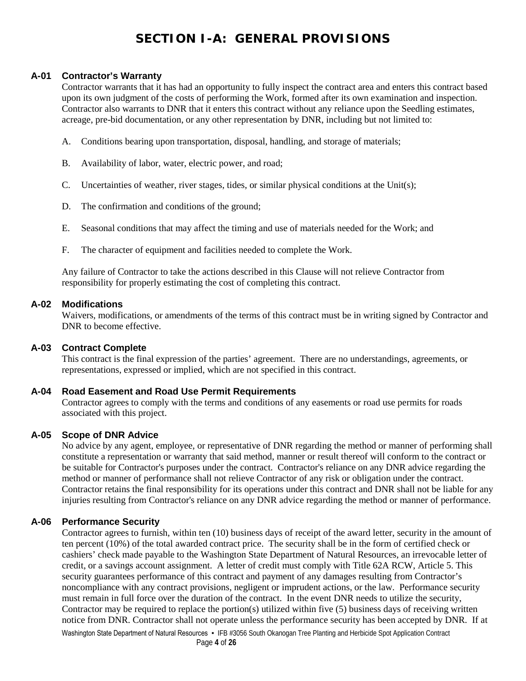## **SECTION I-A: GENERAL PROVISIONS**

#### **A-01 Contractor's Warranty**

Contractor warrants that it has had an opportunity to fully inspect the contract area and enters this contract based upon its own judgment of the costs of performing the Work, formed after its own examination and inspection. Contractor also warrants to DNR that it enters this contract without any reliance upon the Seedling estimates, acreage, pre-bid documentation, or any other representation by DNR, including but not limited to:

- A. Conditions bearing upon transportation, disposal, handling, and storage of materials;
- B. Availability of labor, water, electric power, and road;
- C. Uncertainties of weather, river stages, tides, or similar physical conditions at the Unit(s);
- D. The confirmation and conditions of the ground;
- E. Seasonal conditions that may affect the timing and use of materials needed for the Work; and
- F. The character of equipment and facilities needed to complete the Work.

Any failure of Contractor to take the actions described in this Clause will not relieve Contractor from responsibility for properly estimating the cost of completing this contract.

#### **A-02 Modifications**

Waivers, modifications, or amendments of the terms of this contract must be in writing signed by Contractor and DNR to become effective.

#### **A-03 Contract Complete**

This contract is the final expression of the parties' agreement. There are no understandings, agreements, or representations, expressed or implied, which are not specified in this contract.

#### **A-04 Road Easement and Road Use Permit Requirements**

Contractor agrees to comply with the terms and conditions of any easements or road use permits for roads associated with this project.

#### **A-05 Scope of DNR Advice**

No advice by any agent, employee, or representative of DNR regarding the method or manner of performing shall constitute a representation or warranty that said method, manner or result thereof will conform to the contract or be suitable for Contractor's purposes under the contract. Contractor's reliance on any DNR advice regarding the method or manner of performance shall not relieve Contractor of any risk or obligation under the contract. Contractor retains the final responsibility for its operations under this contract and DNR shall not be liable for any injuries resulting from Contractor's reliance on any DNR advice regarding the method or manner of performance.

#### **A-06 Performance Security**

Contractor agrees to furnish, within ten (10) business days of receipt of the award letter, security in the amount of ten percent (10%) of the total awarded contract price. The security shall be in the form of certified check or cashiers' check made payable to the Washington State Department of Natural Resources, an irrevocable letter of credit, or a savings account assignment. A letter of credit must comply with Title 62A RCW, Article 5. This security guarantees performance of this contract and payment of any damages resulting from Contractor's noncompliance with any contract provisions, negligent or imprudent actions, or the law. Performance security must remain in full force over the duration of the contract. In the event DNR needs to utilize the security, Contractor may be required to replace the portion(s) utilized within five (5) business days of receiving written notice from DNR. Contractor shall not operate unless the performance security has been accepted by DNR. If at

Washington State Department of Natural Resources • IFB #3056 South Okanogan Tree Planting and Herbicide Spot Application Contract Page **4** of **26**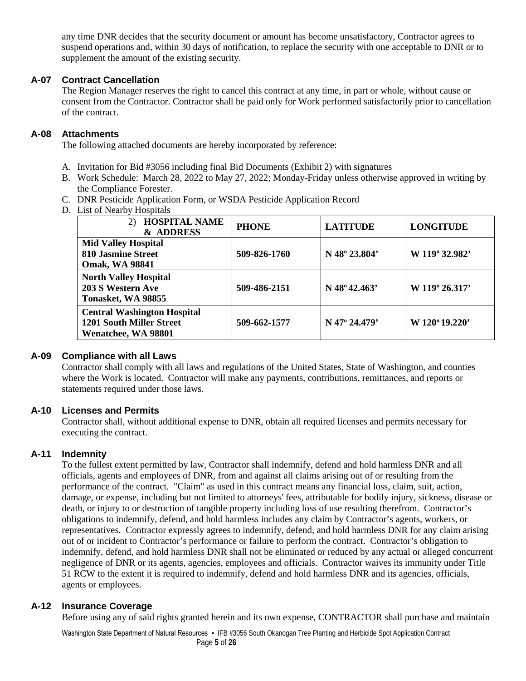any time DNR decides that the security document or amount has become unsatisfactory, Contractor agrees to suspend operations and, within 30 days of notification, to replace the security with one acceptable to DNR or to supplement the amount of the existing security.

#### **A-07 Contract Cancellation**

The Region Manager reserves the right to cancel this contract at any time, in part or whole, without cause or consent from the Contractor. Contractor shall be paid only for Work performed satisfactorily prior to cancellation of the contract.

#### **A-08 Attachments**

The following attached documents are hereby incorporated by reference:

- A. Invitation for Bid #3056 including final Bid Documents (Exhibit 2) with signatures
- B. Work Schedule: March 28, 2022 to May 27, 2022; Monday-Friday unless otherwise approved in writing by the Compliance Forester.
- C. DNR Pesticide Application Form, or WSDA Pesticide Application Record
- D. List of Nearby Hospitals

| <b>HOSPITAL NAME</b><br>2)<br>& ADDRESS                                                      | <b>PHONE</b> | <b>LATITUDE</b>          | <b>LONGITUDE</b> |
|----------------------------------------------------------------------------------------------|--------------|--------------------------|------------------|
| <b>Mid Valley Hospital</b><br><b>810 Jasmine Street</b><br><b>Omak, WA 98841</b>             | 509-826-1760 | N 48° 23.804'            | W 119° 32.982'   |
| <b>North Valley Hospital</b><br>203 S Western Ave<br>Tonasket, WA 98855                      | 509-486-2151 | N $48^{\circ}42.463'$    | W 119° 26.317'   |
| <b>Central Washington Hospital</b><br><b>1201 South Miller Street</b><br>Wenatchee, WA 98801 | 509-662-1577 | $N$ 47 $\degree$ 24.479' | W 120°19.220'    |

#### **A-09 Compliance with all Laws**

Contractor shall comply with all laws and regulations of the United States, State of Washington, and counties where the Work is located. Contractor will make any payments, contributions, remittances, and reports or statements required under those laws.

#### **A-10 Licenses and Permits**

Contractor shall, without additional expense to DNR, obtain all required licenses and permits necessary for executing the contract.

#### **A-11 Indemnity**

To the fullest extent permitted by law, Contractor shall indemnify, defend and hold harmless DNR and all officials, agents and employees of DNR, from and against all claims arising out of or resulting from the performance of the contract. "Claim" as used in this contract means any financial loss, claim, suit, action, damage, or expense, including but not limited to attorneys' fees, attributable for bodily injury, sickness, disease or death, or injury to or destruction of tangible property including loss of use resulting therefrom. Contractor's obligations to indemnify, defend, and hold harmless includes any claim by Contractor's agents, workers, or representatives. Contractor expressly agrees to indemnify, defend, and hold harmless DNR for any claim arising out of or incident to Contractor's performance or failure to perform the contract. Contractor's obligation to indemnify, defend, and hold harmless DNR shall not be eliminated or reduced by any actual or alleged concurrent negligence of DNR or its agents, agencies, employees and officials. Contractor waives its immunity under Title 51 RCW to the extent it is required to indemnify, defend and hold harmless DNR and its agencies, officials, agents or employees.

#### **A-12 Insurance Coverage**

Before using any of said rights granted herein and its own expense, CONTRACTOR shall purchase and maintain

Washington State Department of Natural Resources • IFB #3056 South Okanogan Tree Planting and Herbicide Spot Application Contract Page **5** of **26**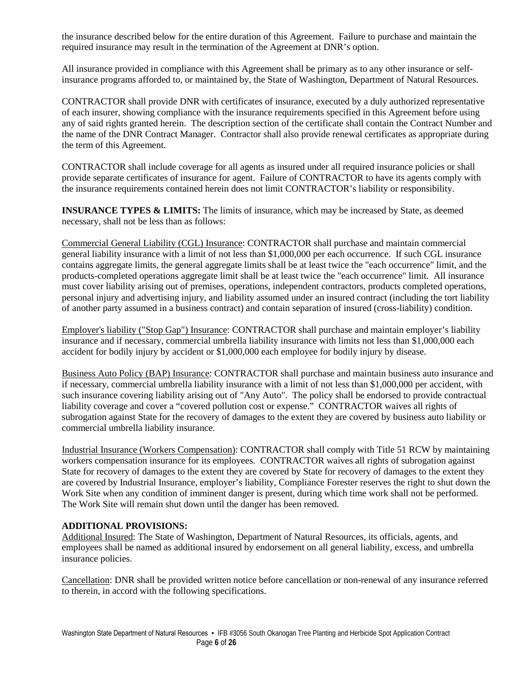the insurance described below for the entire duration of this Agreement. Failure to purchase and maintain the required insurance may result in the termination of the Agreement at DNR's option.

All insurance provided in compliance with this Agreement shall be primary as to any other insurance or selfinsurance programs afforded to, or maintained by, the State of Washington, Department of Natural Resources.

CONTRACTOR shall provide DNR with certificates of insurance, executed by a duly authorized representative of each insurer, showing compliance with the insurance requirements specified in this Agreement before using any of said rights granted herein. The description section of the certificate shall contain the Contract Number and the name of the DNR Contract Manager. Contractor shall also provide renewal certificates as appropriate during the term of this Agreement.

CONTRACTOR shall include coverage for all agents as insured under all required insurance policies or shall provide separate certificates of insurance for agent. Failure of CONTRACTOR to have its agents comply with the insurance requirements contained herein does not limit CONTRACTOR's liability or responsibility.

**INSURANCE TYPES & LIMITS:** The limits of insurance, which may be increased by State, as deemed necessary, shall not be less than as follows:

Commercial General Liability (CGL) Insurance: CONTRACTOR shall purchase and maintain commercial general liability insurance with a limit of not less than \$1,000,000 per each occurrence. If such CGL insurance contains aggregate limits, the general aggregate limits shall be at least twice the "each occurrence" limit, and the products-completed operations aggregate limit shall be at least twice the "each occurrence" limit. All insurance must cover liability arising out of premises, operations, independent contractors, products completed operations, personal injury and advertising injury, and liability assumed under an insured contract (including the tort liability of another party assumed in a business contract) and contain separation of insured (cross-liability) condition.

Employer's liability ("Stop Gap") Insurance: CONTRACTOR shall purchase and maintain employer's liability insurance and if necessary, commercial umbrella liability insurance with limits not less than \$1,000,000 each accident for bodily injury by accident or \$1,000,000 each employee for bodily injury by disease.

Business Auto Policy (BAP) Insurance: CONTRACTOR shall purchase and maintain business auto insurance and if necessary, commercial umbrella liability insurance with a limit of not less than \$1,000,000 per accident, with such insurance covering liability arising out of "Any Auto". The policy shall be endorsed to provide contractual liability coverage and cover a "covered pollution cost or expense." CONTRACTOR waives all rights of subrogation against State for the recovery of damages to the extent they are covered by business auto liability or commercial umbrella liability insurance.

Industrial Insurance (Workers Compensation): CONTRACTOR shall comply with Title 51 RCW by maintaining workers compensation insurance for its employees. CONTRACTOR waives all rights of subrogation against State for recovery of damages to the extent they are covered by State for recovery of damages to the extent they are covered by Industrial Insurance, employer's liability, Compliance Forester reserves the right to shut down the Work Site when any condition of imminent danger is present, during which time work shall not be performed. The Work Site will remain shut down until the danger has been removed.

#### **ADDITIONAL PROVISIONS:**

Additional Insured: The State of Washington, Department of Natural Resources, its officials, agents, and employees shall be named as additional insured by endorsement on all general liability, excess, and umbrella insurance policies.

Cancellation: DNR shall be provided written notice before cancellation or non-renewal of any insurance referred to therein, in accord with the following specifications.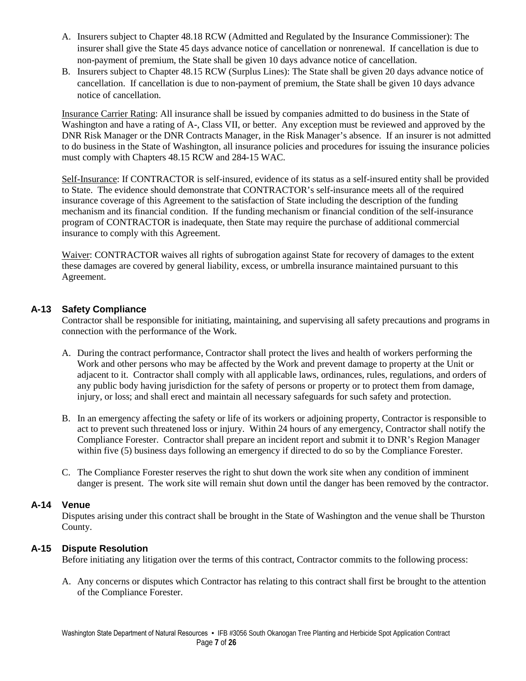- A. Insurers subject to Chapter 48.18 RCW (Admitted and Regulated by the Insurance Commissioner): The insurer shall give the State 45 days advance notice of cancellation or nonrenewal. If cancellation is due to non-payment of premium, the State shall be given 10 days advance notice of cancellation.
- B. Insurers subject to Chapter 48.15 RCW (Surplus Lines): The State shall be given 20 days advance notice of cancellation. If cancellation is due to non-payment of premium, the State shall be given 10 days advance notice of cancellation.

Insurance Carrier Rating: All insurance shall be issued by companies admitted to do business in the State of Washington and have a rating of A-, Class VII, or better. Any exception must be reviewed and approved by the DNR Risk Manager or the DNR Contracts Manager, in the Risk Manager's absence. If an insurer is not admitted to do business in the State of Washington, all insurance policies and procedures for issuing the insurance policies must comply with Chapters 48.15 RCW and 284-15 WAC.

Self-Insurance: If CONTRACTOR is self-insured, evidence of its status as a self-insured entity shall be provided to State. The evidence should demonstrate that CONTRACTOR's self-insurance meets all of the required insurance coverage of this Agreement to the satisfaction of State including the description of the funding mechanism and its financial condition. If the funding mechanism or financial condition of the self-insurance program of CONTRACTOR is inadequate, then State may require the purchase of additional commercial insurance to comply with this Agreement.

Waiver: CONTRACTOR waives all rights of subrogation against State for recovery of damages to the extent these damages are covered by general liability, excess, or umbrella insurance maintained pursuant to this Agreement.

#### **A-13 Safety Compliance**

Contractor shall be responsible for initiating, maintaining, and supervising all safety precautions and programs in connection with the performance of the Work.

- A. During the contract performance, Contractor shall protect the lives and health of workers performing the Work and other persons who may be affected by the Work and prevent damage to property at the Unit or adjacent to it. Contractor shall comply with all applicable laws, ordinances, rules, regulations, and orders of any public body having jurisdiction for the safety of persons or property or to protect them from damage, injury, or loss; and shall erect and maintain all necessary safeguards for such safety and protection.
- B. In an emergency affecting the safety or life of its workers or adjoining property, Contractor is responsible to act to prevent such threatened loss or injury. Within 24 hours of any emergency, Contractor shall notify the Compliance Forester. Contractor shall prepare an incident report and submit it to DNR's Region Manager within five (5) business days following an emergency if directed to do so by the Compliance Forester.
- C. The Compliance Forester reserves the right to shut down the work site when any condition of imminent danger is present. The work site will remain shut down until the danger has been removed by the contractor.

#### **A-14 Venue**

Disputes arising under this contract shall be brought in the State of Washington and the venue shall be Thurston County.

#### **A-15 Dispute Resolution**

Before initiating any litigation over the terms of this contract, Contractor commits to the following process:

A. Any concerns or disputes which Contractor has relating to this contract shall first be brought to the attention of the Compliance Forester.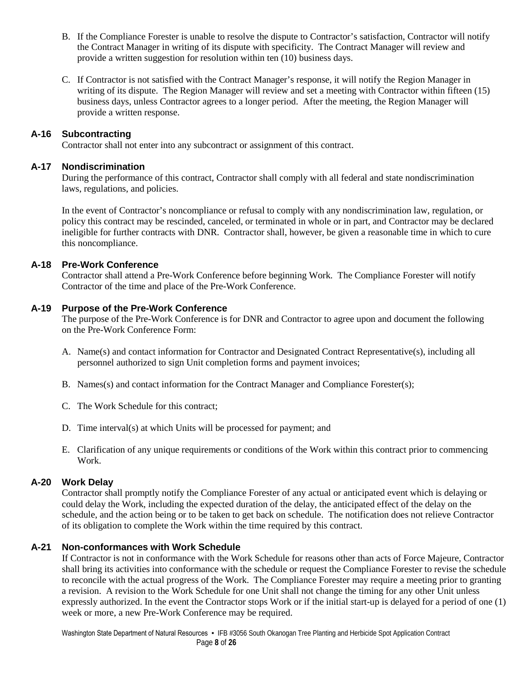- B. If the Compliance Forester is unable to resolve the dispute to Contractor's satisfaction, Contractor will notify the Contract Manager in writing of its dispute with specificity. The Contract Manager will review and provide a written suggestion for resolution within ten (10) business days.
- C. If Contractor is not satisfied with the Contract Manager's response, it will notify the Region Manager in writing of its dispute. The Region Manager will review and set a meeting with Contractor within fifteen (15) business days, unless Contractor agrees to a longer period. After the meeting, the Region Manager will provide a written response.

#### **A-16 Subcontracting**

Contractor shall not enter into any subcontract or assignment of this contract.

#### **A-17 Nondiscrimination**

During the performance of this contract, Contractor shall comply with all federal and state nondiscrimination laws, regulations, and policies.

 In the event of Contractor's noncompliance or refusal to comply with any nondiscrimination law, regulation, or policy this contract may be rescinded, canceled, or terminated in whole or in part, and Contractor may be declared ineligible for further contracts with DNR. Contractor shall, however, be given a reasonable time in which to cure this noncompliance.

#### **A-18 Pre-Work Conference**

Contractor shall attend a Pre-Work Conference before beginning Work. The Compliance Forester will notify Contractor of the time and place of the Pre-Work Conference.

#### **A-19 Purpose of the Pre-Work Conference**

The purpose of the Pre-Work Conference is for DNR and Contractor to agree upon and document the following on the Pre-Work Conference Form:

- A. Name(s) and contact information for Contractor and Designated Contract Representative(s), including all personnel authorized to sign Unit completion forms and payment invoices;
- B. Names(s) and contact information for the Contract Manager and Compliance Forester(s);
- C. The Work Schedule for this contract;
- D. Time interval(s) at which Units will be processed for payment; and
- E. Clarification of any unique requirements or conditions of the Work within this contract prior to commencing Work.

### **A-20 Work Delay**

Contractor shall promptly notify the Compliance Forester of any actual or anticipated event which is delaying or could delay the Work, including the expected duration of the delay, the anticipated effect of the delay on the schedule, and the action being or to be taken to get back on schedule. The notification does not relieve Contractor of its obligation to complete the Work within the time required by this contract.

#### **A-21 Non-conformances with Work Schedule**

If Contractor is not in conformance with the Work Schedule for reasons other than acts of Force Majeure, Contractor shall bring its activities into conformance with the schedule or request the Compliance Forester to revise the schedule to reconcile with the actual progress of the Work. The Compliance Forester may require a meeting prior to granting a revision. A revision to the Work Schedule for one Unit shall not change the timing for any other Unit unless expressly authorized. In the event the Contractor stops Work or if the initial start-up is delayed for a period of one (1) week or more, a new Pre-Work Conference may be required.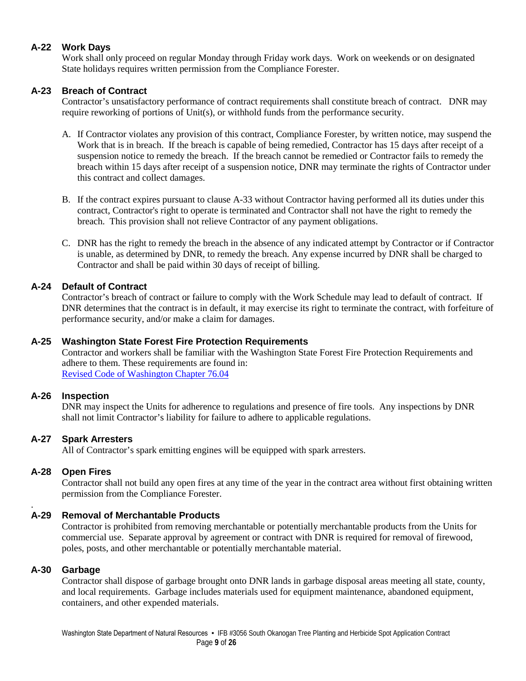### **A-22 Work Days**

Work shall only proceed on regular Monday through Friday work days. Work on weekends or on designated State holidays requires written permission from the Compliance Forester.

#### **A-23 Breach of Contract**

Contractor's unsatisfactory performance of contract requirements shall constitute breach of contract. DNR may require reworking of portions of Unit(s), or withhold funds from the performance security.

- A. If Contractor violates any provision of this contract, Compliance Forester, by written notice, may suspend the Work that is in breach. If the breach is capable of being remedied, Contractor has 15 days after receipt of a suspension notice to remedy the breach. If the breach cannot be remedied or Contractor fails to remedy the breach within 15 days after receipt of a suspension notice, DNR may terminate the rights of Contractor under this contract and collect damages.
- B. If the contract expires pursuant to clause A-33 without Contractor having performed all its duties under this contract, Contractor's right to operate is terminated and Contractor shall not have the right to remedy the breach. This provision shall not relieve Contractor of any payment obligations.
- C. DNR has the right to remedy the breach in the absence of any indicated attempt by Contractor or if Contractor is unable, as determined by DNR, to remedy the breach. Any expense incurred by DNR shall be charged to Contractor and shall be paid within 30 days of receipt of billing.

#### **A-24 Default of Contract**

 Contractor's breach of contract or failure to comply with the Work Schedule may lead to default of contract. If DNR determines that the contract is in default, it may exercise its right to terminate the contract, with forfeiture of performance security, and/or make a claim for damages.

#### **A-25 Washington State Forest Fire Protection Requirements**

Contractor and workers shall be familiar with the Washington State Forest Fire Protection Requirements and adhere to them. These requirements are found in: [Revised Code of Washington Chapter 76.04](http://apps.leg.wa.gov/rcw/default.aspx?cite=76.04)

#### **A-26 Inspection**

DNR may inspect the Units for adherence to regulations and presence of fire tools. Any inspections by DNR shall not limit Contractor's liability for failure to adhere to applicable regulations.

#### **A-27 Spark Arresters**

All of Contractor's spark emitting engines will be equipped with spark arresters.

#### **A-28 Open Fires**

Contractor shall not build any open fires at any time of the year in the contract area without first obtaining written permission from the Compliance Forester.

#### . **A-29 Removal of Merchantable Products**

Contractor is prohibited from removing merchantable or potentially merchantable products from the Units for commercial use. Separate approval by agreement or contract with DNR is required for removal of firewood, poles, posts, and other merchantable or potentially merchantable material.

#### **A-30 Garbage**

Contractor shall dispose of garbage brought onto DNR lands in garbage disposal areas meeting all state, county, and local requirements. Garbage includes materials used for equipment maintenance, abandoned equipment, containers, and other expended materials.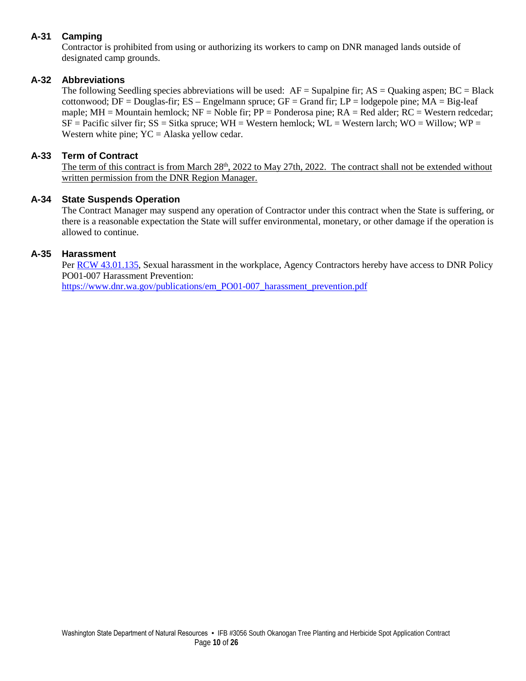### **A-31 Camping**

Contractor is prohibited from using or authorizing its workers to camp on DNR managed lands outside of designated camp grounds.

### **A-32 Abbreviations**

The following Seedling species abbreviations will be used:  $AF =$  Supalpine fir;  $AS =$  Ouaking aspen;  $BC =$  Black cottonwood;  $DF = Douglas$ -fir;  $ES - Engelmann$  spruce;  $GF = Grand$  fir;  $LP = Iodge$  pole pine;  $MA = Big$ -leaf maple;  $MH =$  Mountain hemlock;  $NF =$  Noble fir;  $PP =$  Ponderosa pine;  $RA =$  Red alder;  $RC =$  Western redcedar;  $SF = Pacific$  silver fir;  $SS = Sitka$  spruce;  $WH = Western$  hemlock;  $WL = Western$  larch;  $WO = Willow$ ;  $WP =$ Western white pine;  $YC = Alaska$  yellow cedar.

#### **A-33 Term of Contract**

The term of this contract is from March 28<sup>th</sup>, 2022 to May 27th, 2022. The contract shall not be extended without written permission from the DNR Region Manager.

#### **A-34 State Suspends Operation**

The Contract Manager may suspend any operation of Contractor under this contract when the State is suffering, or there is a reasonable expectation the State will suffer environmental, monetary, or other damage if the operation is allowed to continue.

#### **A-35 Harassment**

Per [RCW 43.01.135,](https://gcc02.safelinks.protection.outlook.com/?url=https%3A%2F%2Fapp.leg.wa.gov%2FRCW%2Fdefault.aspx%3Fcite%3D43.01.135&data=04%7C01%7CZak.Thomas%40dnr.wa.gov%7Ce0edbcbc294e468457c508d951e35e00%7C11d0e217264e400a8ba057dcc127d72d%7C0%7C0%7C637630859249997742%7CUnknown%7CTWFpbGZsb3d8eyJWIjoiMC4wLjAwMDAiLCJQIjoiV2luMzIiLCJBTiI6Ik1haWwiLCJXVCI6Mn0%3D%7C1000&sdata=v633h0N48ERsk3tJZmkQEpaKScMQWxgXcTrvUfKkKHc%3D&reserved=0) Sexual harassment in the workplace, Agency Contractors hereby have access to DNR Policy PO01-007 Harassment Prevention: [https://www.dnr.wa.gov/publications/em\\_PO01-007\\_harassment\\_prevention.pdf](https://gcc02.safelinks.protection.outlook.com/?url=https%3A%2F%2Fwww.dnr.wa.gov%2Fpublications%2Fem_PO01-007_harassment_prevention.pdf%3Flo1e6oo&data=04%7C01%7CZak.Thomas%40dnr.wa.gov%7Ce0edbcbc294e468457c508d951e35e00%7C11d0e217264e400a8ba057dcc127d72d%7C0%7C0%7C637630859249997742%7CUnknown%7CTWFpbGZsb3d8eyJWIjoiMC4wLjAwMDAiLCJQIjoiV2luMzIiLCJBTiI6Ik1haWwiLCJXVCI6Mn0%3D%7C1000&sdata=9Fd3NmlCe7S8ulRNgy9TbzqzR5AkM003u%2Fuu28TTIYg%3D&reserved=0)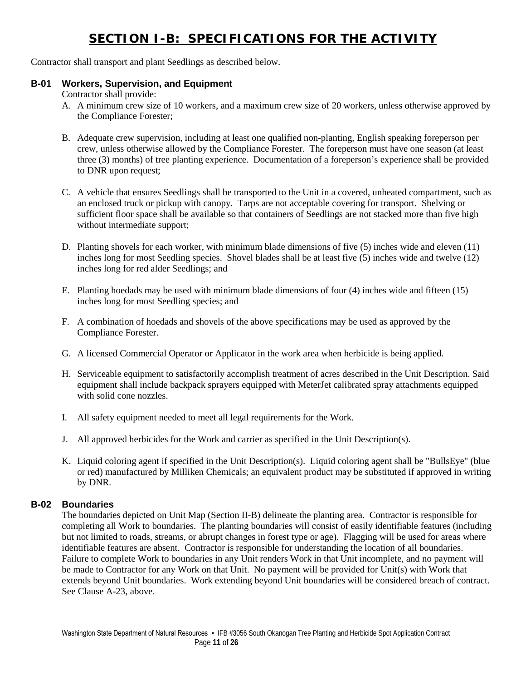## **SECTION I-B: SPECIFICATIONS FOR THE ACTIVITY**

Contractor shall transport and plant Seedlings as described below.

#### **B-01 Workers, Supervision, and Equipment**

Contractor shall provide:

- A. A minimum crew size of 10 workers, and a maximum crew size of 20 workers, unless otherwise approved by the Compliance Forester;
- B. Adequate crew supervision, including at least one qualified non-planting, English speaking foreperson per crew, unless otherwise allowed by the Compliance Forester. The foreperson must have one season (at least three (3) months) of tree planting experience. Documentation of a foreperson's experience shall be provided to DNR upon request;
- C. A vehicle that ensures Seedlings shall be transported to the Unit in a covered, unheated compartment, such as an enclosed truck or pickup with canopy. Tarps are not acceptable covering for transport. Shelving or sufficient floor space shall be available so that containers of Seedlings are not stacked more than five high without intermediate support;
- D. Planting shovels for each worker, with minimum blade dimensions of five (5) inches wide and eleven (11) inches long for most Seedling species. Shovel blades shall be at least five (5) inches wide and twelve (12) inches long for red alder Seedlings; and
- E. Planting hoedads may be used with minimum blade dimensions of four (4) inches wide and fifteen (15) inches long for most Seedling species; and
- F. A combination of hoedads and shovels of the above specifications may be used as approved by the Compliance Forester.
- G. A licensed Commercial Operator or Applicator in the work area when herbicide is being applied.
- H. Serviceable equipment to satisfactorily accomplish treatment of acres described in the Unit Description. Said equipment shall include backpack sprayers equipped with MeterJet calibrated spray attachments equipped with solid cone nozzles.
- I. All safety equipment needed to meet all legal requirements for the Work.
- J. All approved herbicides for the Work and carrier as specified in the Unit Description(s).
- K. Liquid coloring agent if specified in the Unit Description(s). Liquid coloring agent shall be "BullsEye" (blue or red) manufactured by Milliken Chemicals; an equivalent product may be substituted if approved in writing by DNR.

#### **B-02 Boundaries**

The boundaries depicted on Unit Map (Section II-B) delineate the planting area. Contractor is responsible for completing all Work to boundaries. The planting boundaries will consist of easily identifiable features (including but not limited to roads, streams, or abrupt changes in forest type or age). Flagging will be used for areas where identifiable features are absent. Contractor is responsible for understanding the location of all boundaries. Failure to complete Work to boundaries in any Unit renders Work in that Unit incomplete, and no payment will be made to Contractor for any Work on that Unit. No payment will be provided for Unit(s) with Work that extends beyond Unit boundaries. Work extending beyond Unit boundaries will be considered breach of contract. See Clause A-23, above.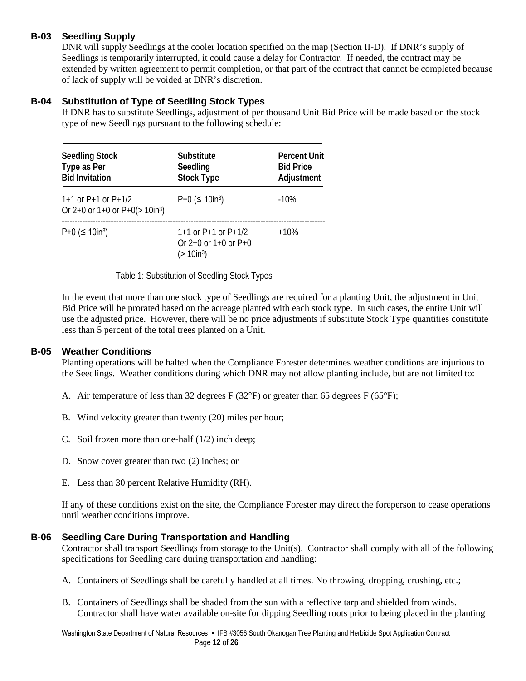### **B-03 Seedling Supply**

DNR will supply Seedlings at the cooler location specified on the map (Section II-D). If DNR's supply of Seedlings is temporarily interrupted, it could cause a delay for Contractor. If needed, the contract may be extended by written agreement to permit completion, or that part of the contract that cannot be completed because of lack of supply will be voided at DNR's discretion.

### **B-04 Substitution of Type of Seedling Stock Types**

If DNR has to substitute Seedlings, adjustment of per thousand Unit Bid Price will be made based on the stock type of new Seedlings pursuant to the following schedule:

| <b>Seedling Stock</b><br>Type as Per<br><b>Bid Invitation</b>     | <b>Substitute</b><br>Seedling<br><b>Stock Type</b>                               | <b>Percent Unit</b><br><b>Bid Price</b><br>Adjustment |  |  |
|-------------------------------------------------------------------|----------------------------------------------------------------------------------|-------------------------------------------------------|--|--|
| $1+1$ or P+1 or P+1/2<br>Or $2+0$ or $1+0$ or $P+0$ (> $10in^3$ ) | $P+0$ ( $\leq$ 10in <sup>3</sup> )                                               | $-10\%$                                               |  |  |
| $P+0$ ( $\leq$ 10in <sup>3</sup> )                                | $1+1$ or P+1 or P+1/2<br>Or $2+0$ or $1+0$ or $P+0$<br>$($ > 10in <sup>3</sup> ) | $+10%$                                                |  |  |

Table 1: Substitution of Seedling Stock Types

In the event that more than one stock type of Seedlings are required for a planting Unit, the adjustment in Unit Bid Price will be prorated based on the acreage planted with each stock type. In such cases, the entire Unit will use the adjusted price. However, there will be no price adjustments if substitute Stock Type quantities constitute less than 5 percent of the total trees planted on a Unit.

#### **B-05 Weather Conditions**

Planting operations will be halted when the Compliance Forester determines weather conditions are injurious to the Seedlings. Weather conditions during which DNR may not allow planting include, but are not limited to:

- A. Air temperature of less than 32 degrees  $F(32^{\circ}F)$  or greater than 65 degrees  $F(65^{\circ}F)$ ;
- B. Wind velocity greater than twenty (20) miles per hour;
- C. Soil frozen more than one-half (1/2) inch deep;
- D. Snow cover greater than two (2) inches; or
- E. Less than 30 percent Relative Humidity (RH).

If any of these conditions exist on the site, the Compliance Forester may direct the foreperson to cease operations until weather conditions improve.

#### **B-06 Seedling Care During Transportation and Handling**

Contractor shall transport Seedlings from storage to the Unit(s). Contractor shall comply with all of the following specifications for Seedling care during transportation and handling:

- A. Containers of Seedlings shall be carefully handled at all times. No throwing, dropping, crushing, etc.;
- B. Containers of Seedlings shall be shaded from the sun with a reflective tarp and shielded from winds. Contractor shall have water available on-site for dipping Seedling roots prior to being placed in the planting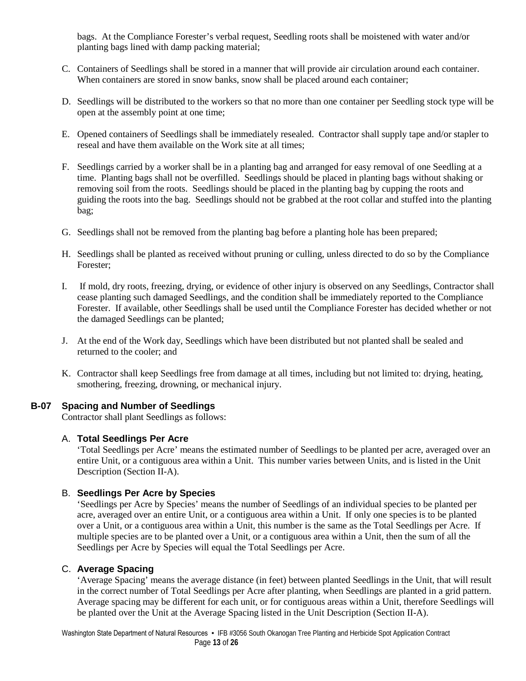bags. At the Compliance Forester's verbal request, Seedling roots shall be moistened with water and/or planting bags lined with damp packing material;

- C. Containers of Seedlings shall be stored in a manner that will provide air circulation around each container. When containers are stored in snow banks, snow shall be placed around each container;
- D. Seedlings will be distributed to the workers so that no more than one container per Seedling stock type will be open at the assembly point at one time;
- E. Opened containers of Seedlings shall be immediately resealed. Contractor shall supply tape and/or stapler to reseal and have them available on the Work site at all times;
- F. Seedlings carried by a worker shall be in a planting bag and arranged for easy removal of one Seedling at a time. Planting bags shall not be overfilled. Seedlings should be placed in planting bags without shaking or removing soil from the roots. Seedlings should be placed in the planting bag by cupping the roots and guiding the roots into the bag. Seedlings should not be grabbed at the root collar and stuffed into the planting bag;
- G. Seedlings shall not be removed from the planting bag before a planting hole has been prepared;
- H. Seedlings shall be planted as received without pruning or culling, unless directed to do so by the Compliance Forester;
- I. If mold, dry roots, freezing, drying, or evidence of other injury is observed on any Seedlings, Contractor shall cease planting such damaged Seedlings, and the condition shall be immediately reported to the Compliance Forester. If available, other Seedlings shall be used until the Compliance Forester has decided whether or not the damaged Seedlings can be planted;
- J. At the end of the Work day, Seedlings which have been distributed but not planted shall be sealed and returned to the cooler; and
- K. Contractor shall keep Seedlings free from damage at all times, including but not limited to: drying, heating, smothering, freezing, drowning, or mechanical injury.

#### **B-07 Spacing and Number of Seedlings**

Contractor shall plant Seedlings as follows:

#### A. **Total Seedlings Per Acre**

'Total Seedlings per Acre' means the estimated number of Seedlings to be planted per acre, averaged over an entire Unit, or a contiguous area within a Unit. This number varies between Units, and is listed in the Unit Description (Section II-A).

#### B. **Seedlings Per Acre by Species**

'Seedlings per Acre by Species' means the number of Seedlings of an individual species to be planted per acre, averaged over an entire Unit, or a contiguous area within a Unit. If only one species is to be planted over a Unit, or a contiguous area within a Unit, this number is the same as the Total Seedlings per Acre. If multiple species are to be planted over a Unit, or a contiguous area within a Unit, then the sum of all the Seedlings per Acre by Species will equal the Total Seedlings per Acre.

#### C. **Average Spacing**

'Average Spacing' means the average distance (in feet) between planted Seedlings in the Unit, that will result in the correct number of Total Seedlings per Acre after planting, when Seedlings are planted in a grid pattern. Average spacing may be different for each unit, or for contiguous areas within a Unit, therefore Seedlings will be planted over the Unit at the Average Spacing listed in the Unit Description (Section II-A).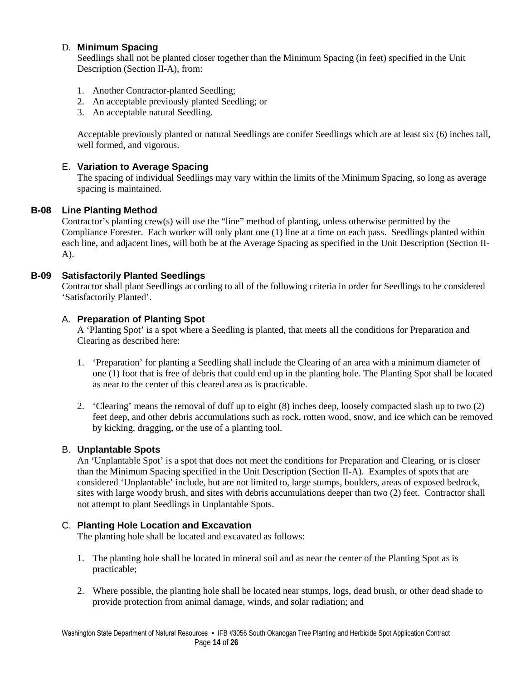#### D. **Minimum Spacing**

Seedlings shall not be planted closer together than the Minimum Spacing (in feet) specified in the Unit Description (Section II-A), from:

- 1. Another Contractor-planted Seedling;
- 2. An acceptable previously planted Seedling; or
- 3. An acceptable natural Seedling.

Acceptable previously planted or natural Seedlings are conifer Seedlings which are at least six (6) inches tall, well formed, and vigorous.

#### E. **Variation to Average Spacing**

 The spacing of individual Seedlings may vary within the limits of the Minimum Spacing, so long as average spacing is maintained.

#### **B-08 Line Planting Method**

Contractor's planting crew(s) will use the "line" method of planting, unless otherwise permitted by the Compliance Forester. Each worker will only plant one (1) line at a time on each pass. Seedlings planted within each line, and adjacent lines, will both be at the Average Spacing as specified in the Unit Description (Section II-A).

#### **B-09 Satisfactorily Planted Seedlings**

Contractor shall plant Seedlings according to all of the following criteria in order for Seedlings to be considered 'Satisfactorily Planted'.

#### A. **Preparation of Planting Spot**

A 'Planting Spot' is a spot where a Seedling is planted, that meets all the conditions for Preparation and Clearing as described here:

- 1. 'Preparation' for planting a Seedling shall include the Clearing of an area with a minimum diameter of one (1) foot that is free of debris that could end up in the planting hole. The Planting Spot shall be located as near to the center of this cleared area as is practicable.
- 2. 'Clearing' means the removal of duff up to eight (8) inches deep, loosely compacted slash up to two (2) feet deep, and other debris accumulations such as rock, rotten wood, snow, and ice which can be removed by kicking, dragging, or the use of a planting tool.

#### B. **Unplantable Spots**

An 'Unplantable Spot' is a spot that does not meet the conditions for Preparation and Clearing, or is closer than the Minimum Spacing specified in the Unit Description (Section II-A). Examples of spots that are considered 'Unplantable' include, but are not limited to, large stumps, boulders, areas of exposed bedrock, sites with large woody brush, and sites with debris accumulations deeper than two (2) feet. Contractor shall not attempt to plant Seedlings in Unplantable Spots.

#### C. **Planting Hole Location and Excavation**

The planting hole shall be located and excavated as follows:

- 1. The planting hole shall be located in mineral soil and as near the center of the Planting Spot as is practicable;
- 2. Where possible, the planting hole shall be located near stumps, logs, dead brush, or other dead shade to provide protection from animal damage, winds, and solar radiation; and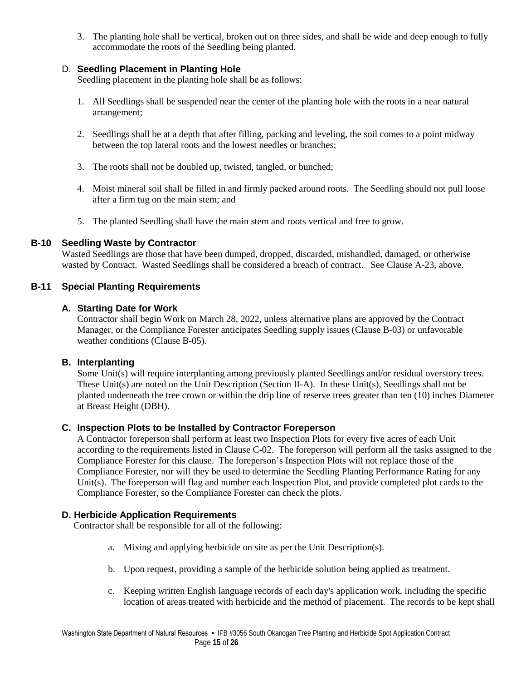3. The planting hole shall be vertical, broken out on three sides, and shall be wide and deep enough to fully accommodate the roots of the Seedling being planted.

### D. **Seedling Placement in Planting Hole**

Seedling placement in the planting hole shall be as follows:

- 1. All Seedlings shall be suspended near the center of the planting hole with the roots in a near natural arrangement;
- 2. Seedlings shall be at a depth that after filling, packing and leveling, the soil comes to a point midway between the top lateral roots and the lowest needles or branches;
- 3. The roots shall not be doubled up, twisted, tangled, or bunched;
- 4. Moist mineral soil shall be filled in and firmly packed around roots. The Seedling should not pull loose after a firm tug on the main stem; and
- 5. The planted Seedling shall have the main stem and roots vertical and free to grow.

#### **B-10 Seedling Waste by Contractor**

Wasted Seedlings are those that have been dumped, dropped, discarded, mishandled, damaged, or otherwise wasted by Contract. Wasted Seedlings shall be considered a breach of contract. See Clause A-23, above.

#### **B-11 Special Planting Requirements**

#### **A. Starting Date for Work**

Contractor shall begin Work on March 28, 2022, unless alternative plans are approved by the Contract Manager, or the Compliance Forester anticipates Seedling supply issues (Clause B-03) or unfavorable weather conditions (Clause B-05).

#### **B. Interplanting**

Some Unit(s) will require interplanting among previously planted Seedlings and/or residual overstory trees. These Unit(s) are noted on the Unit Description (Section II-A). In these Unit(s), Seedlings shall not be planted underneath the tree crown or within the drip line of reserve trees greater than ten (10) inches Diameter at Breast Height (DBH).

#### **C. Inspection Plots to be Installed by Contractor Foreperson**

A Contractor foreperson shall perform at least two Inspection Plots for every five acres of each Unit according to the requirements listed in Clause C-02. The foreperson will perform all the tasks assigned to the Compliance Forester for this clause. The foreperson's Inspection Plots will not replace those of the Compliance Forester, nor will they be used to determine the Seedling Planting Performance Rating for any Unit(s). The foreperson will flag and number each Inspection Plot, and provide completed plot cards to the Compliance Forester, so the Compliance Forester can check the plots.

#### **D. Herbicide Application Requirements**

Contractor shall be responsible for all of the following:

- a. Mixing and applying herbicide on site as per the Unit Description(s).
- b. Upon request, providing a sample of the herbicide solution being applied as treatment.
- c. Keeping written English language records of each day's application work, including the specific location of areas treated with herbicide and the method of placement. The records to be kept shall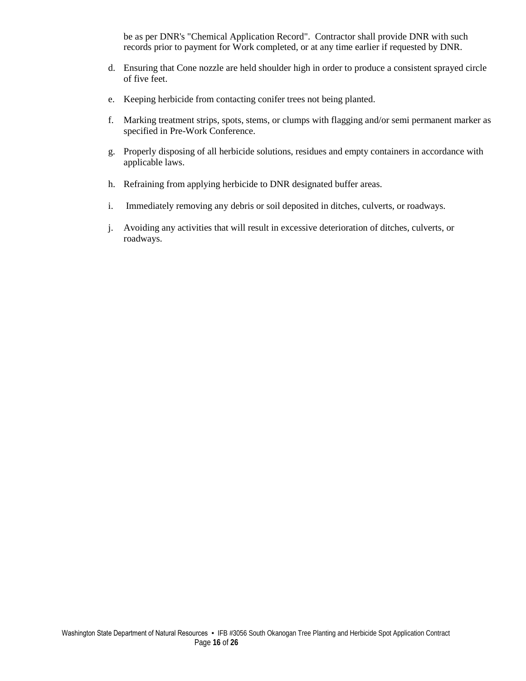be as per DNR's "Chemical Application Record". Contractor shall provide DNR with such records prior to payment for Work completed, or at any time earlier if requested by DNR.

- d. Ensuring that Cone nozzle are held shoulder high in order to produce a consistent sprayed circle of five feet.
- e. Keeping herbicide from contacting conifer trees not being planted.
- f. Marking treatment strips, spots, stems, or clumps with flagging and/or semi permanent marker as specified in Pre-Work Conference.
- g. Properly disposing of all herbicide solutions, residues and empty containers in accordance with applicable laws.
- h. Refraining from applying herbicide to DNR designated buffer areas.
- i. Immediately removing any debris or soil deposited in ditches, culverts, or roadways.
- j. Avoiding any activities that will result in excessive deterioration of ditches, culverts, or roadways.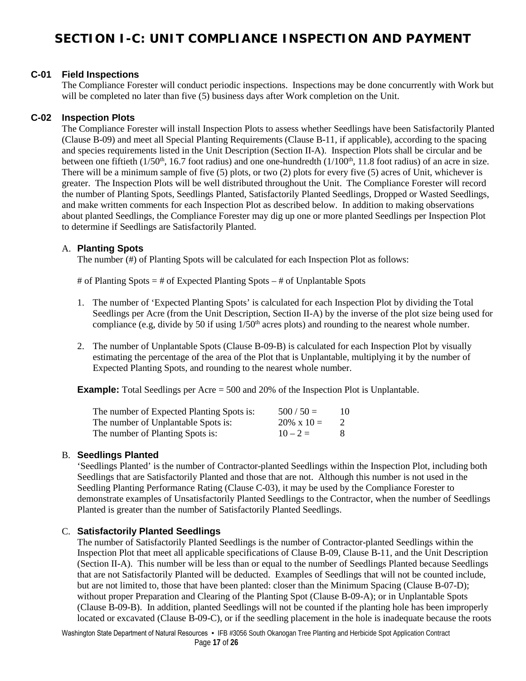## **SECTION I-C: UNIT COMPLIANCE INSPECTION AND PAYMENT**

#### **C-01 Field Inspections**

The Compliance Forester will conduct periodic inspections. Inspections may be done concurrently with Work but will be completed no later than five (5) business days after Work completion on the Unit.

#### **C-02 Inspection Plots**

The Compliance Forester will install Inspection Plots to assess whether Seedlings have been Satisfactorily Planted (Clause B-09) and meet all Special Planting Requirements (Clause B-11, if applicable), according to the spacing and species requirements listed in the Unit Description (Section II-A). Inspection Plots shall be circular and be between one fiftieth  $(1/50<sup>th</sup>$ , 16.7 foot radius) and one one-hundredth  $(1/100<sup>th</sup>$ , 11.8 foot radius) of an acre in size. There will be a minimum sample of five (5) plots, or two (2) plots for every five (5) acres of Unit, whichever is greater. The Inspection Plots will be well distributed throughout the Unit. The Compliance Forester will record the number of Planting Spots, Seedlings Planted, Satisfactorily Planted Seedlings, Dropped or Wasted Seedlings, and make written comments for each Inspection Plot as described below. In addition to making observations about planted Seedlings, the Compliance Forester may dig up one or more planted Seedlings per Inspection Plot to determine if Seedlings are Satisfactorily Planted.

#### A. **Planting Spots**

The number (#) of Planting Spots will be calculated for each Inspection Plot as follows:

# of Planting Spots = # of Expected Planting Spots – # of Unplantable Spots

- 1. The number of 'Expected Planting Spots' is calculated for each Inspection Plot by dividing the Total Seedlings per Acre (from the Unit Description, Section II-A) by the inverse of the plot size being used for compliance (e.g, divide by 50 if using 1/50th acres plots) and rounding to the nearest whole number.
- 2. The number of Unplantable Spots (Clause B-09-B) is calculated for each Inspection Plot by visually estimating the percentage of the area of the Plot that is Unplantable, multiplying it by the number of Expected Planting Spots, and rounding to the nearest whole number.

**Example:** Total Seedlings per Acre = 500 and 20% of the Inspection Plot is Unplantable.

| The number of Expected Planting Spots is: | $500 / 50 =$       | 10 |
|-------------------------------------------|--------------------|----|
| The number of Unplantable Spots is:       | $20\% \times 10 =$ |    |
| The number of Planting Spots is:          | $10 - 2 =$         |    |

#### B. **Seedlings Planted**

'Seedlings Planted' is the number of Contractor-planted Seedlings within the Inspection Plot, including both Seedlings that are Satisfactorily Planted and those that are not. Although this number is not used in the Seedling Planting Performance Rating (Clause C-03), it may be used by the Compliance Forester to demonstrate examples of Unsatisfactorily Planted Seedlings to the Contractor, when the number of Seedlings Planted is greater than the number of Satisfactorily Planted Seedlings.

#### C. **Satisfactorily Planted Seedlings**

The number of Satisfactorily Planted Seedlings is the number of Contractor-planted Seedlings within the Inspection Plot that meet all applicable specifications of Clause B-09, Clause B-11, and the Unit Description (Section II-A). This number will be less than or equal to the number of Seedlings Planted because Seedlings that are not Satisfactorily Planted will be deducted. Examples of Seedlings that will not be counted include, but are not limited to, those that have been planted: closer than the Minimum Spacing (Clause B-07-D); without proper Preparation and Clearing of the Planting Spot (Clause B-09-A); or in Unplantable Spots (Clause B-09-B). In addition, planted Seedlings will not be counted if the planting hole has been improperly located or excavated (Clause B-09-C), or if the seedling placement in the hole is inadequate because the roots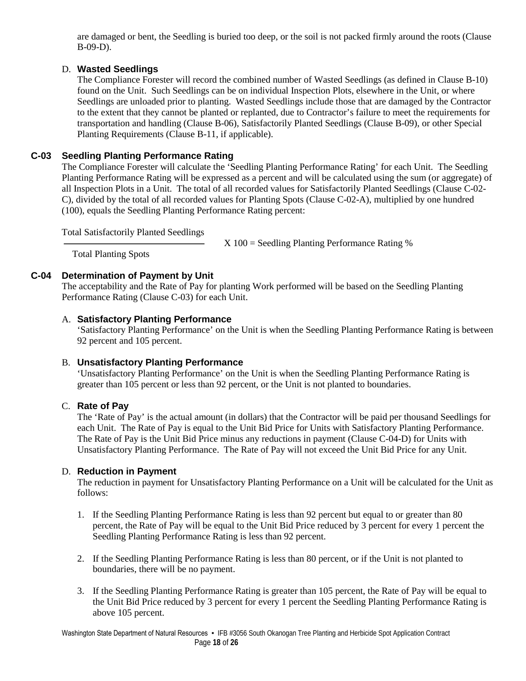are damaged or bent, the Seedling is buried too deep, or the soil is not packed firmly around the roots (Clause B-09-D).

### D. **Wasted Seedlings**

The Compliance Forester will record the combined number of Wasted Seedlings (as defined in Clause B-10) found on the Unit. Such Seedlings can be on individual Inspection Plots, elsewhere in the Unit, or where Seedlings are unloaded prior to planting. Wasted Seedlings include those that are damaged by the Contractor to the extent that they cannot be planted or replanted, due to Contractor's failure to meet the requirements for transportation and handling (Clause B-06), Satisfactorily Planted Seedlings (Clause B-09), or other Special Planting Requirements (Clause B-11, if applicable).

### **C-03 Seedling Planting Performance Rating**

The Compliance Forester will calculate the 'Seedling Planting Performance Rating' for each Unit. The Seedling Planting Performance Rating will be expressed as a percent and will be calculated using the sum (or aggregate) of all Inspection Plots in a Unit. The total of all recorded values for Satisfactorily Planted Seedlings (Clause C-02- C), divided by the total of all recorded values for Planting Spots (Clause C-02-A), multiplied by one hundred (100), equals the Seedling Planting Performance Rating percent:

Total Satisfactorily Planted Seedlings

 $X 100 =$  Seedling Planting Performance Rating %

Total Planting Spots

### **C-04 Determination of Payment by Unit**

The acceptability and the Rate of Pay for planting Work performed will be based on the Seedling Planting Performance Rating (Clause C-03) for each Unit.

### A. **Satisfactory Planting Performance**

'Satisfactory Planting Performance' on the Unit is when the Seedling Planting Performance Rating is between 92 percent and 105 percent.

### B. **Unsatisfactory Planting Performance**

'Unsatisfactory Planting Performance' on the Unit is when the Seedling Planting Performance Rating is greater than 105 percent or less than 92 percent, or the Unit is not planted to boundaries.

### C. **Rate of Pay**

The 'Rate of Pay' is the actual amount (in dollars) that the Contractor will be paid per thousand Seedlings for each Unit. The Rate of Pay is equal to the Unit Bid Price for Units with Satisfactory Planting Performance. The Rate of Pay is the Unit Bid Price minus any reductions in payment (Clause C-04-D) for Units with Unsatisfactory Planting Performance. The Rate of Pay will not exceed the Unit Bid Price for any Unit.

### D. **Reduction in Payment**

The reduction in payment for Unsatisfactory Planting Performance on a Unit will be calculated for the Unit as follows:

- 1. If the Seedling Planting Performance Rating is less than 92 percent but equal to or greater than 80 percent, the Rate of Pay will be equal to the Unit Bid Price reduced by 3 percent for every 1 percent the Seedling Planting Performance Rating is less than 92 percent.
- 2. If the Seedling Planting Performance Rating is less than 80 percent, or if the Unit is not planted to boundaries, there will be no payment.
- 3. If the Seedling Planting Performance Rating is greater than 105 percent, the Rate of Pay will be equal to the Unit Bid Price reduced by 3 percent for every 1 percent the Seedling Planting Performance Rating is above 105 percent.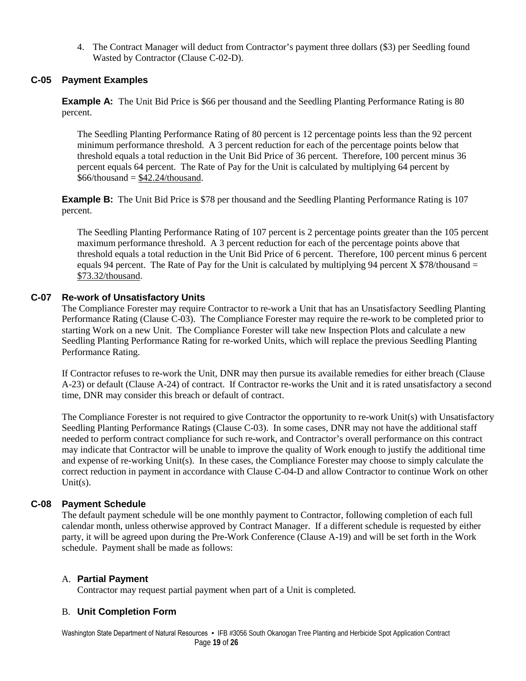4. The Contract Manager will deduct from Contractor's payment three dollars (\$3) per Seedling found Wasted by Contractor (Clause C-02-D).

### **C-05 Payment Examples**

**Example A:** The Unit Bid Price is \$66 per thousand and the Seedling Planting Performance Rating is 80 percent.

The Seedling Planting Performance Rating of 80 percent is 12 percentage points less than the 92 percent minimum performance threshold. A 3 percent reduction for each of the percentage points below that threshold equals a total reduction in the Unit Bid Price of 36 percent. Therefore, 100 percent minus 36 percent equals 64 percent. The Rate of Pay for the Unit is calculated by multiplying 64 percent by  $$66/thousand = $42.24/thousand.$ 

**Example B:** The Unit Bid Price is \$78 per thousand and the Seedling Planting Performance Rating is 107 percent.

The Seedling Planting Performance Rating of 107 percent is 2 percentage points greater than the 105 percent maximum performance threshold. A 3 percent reduction for each of the percentage points above that threshold equals a total reduction in the Unit Bid Price of 6 percent. Therefore, 100 percent minus 6 percent equals 94 percent. The Rate of Pay for the Unit is calculated by multiplying 94 percent X  $$78/h$ ousand = \$73.32/thousand.

#### **C-07 Re-work of Unsatisfactory Units**

The Compliance Forester may require Contractor to re-work a Unit that has an Unsatisfactory Seedling Planting Performance Rating (Clause C-03). The Compliance Forester may require the re-work to be completed prior to starting Work on a new Unit. The Compliance Forester will take new Inspection Plots and calculate a new Seedling Planting Performance Rating for re-worked Units, which will replace the previous Seedling Planting Performance Rating.

If Contractor refuses to re-work the Unit, DNR may then pursue its available remedies for either breach (Clause A-23) or default (Clause A-24) of contract. If Contractor re-works the Unit and it is rated unsatisfactory a second time, DNR may consider this breach or default of contract.

 The Compliance Forester is not required to give Contractor the opportunity to re-work Unit(s) with Unsatisfactory Seedling Planting Performance Ratings (Clause C-03). In some cases, DNR may not have the additional staff needed to perform contract compliance for such re-work, and Contractor's overall performance on this contract may indicate that Contractor will be unable to improve the quality of Work enough to justify the additional time and expense of re-working Unit(s). In these cases, the Compliance Forester may choose to simply calculate the correct reduction in payment in accordance with Clause C-04-D and allow Contractor to continue Work on other Unit $(s)$ .

#### **C-08 Payment Schedule**

The default payment schedule will be one monthly payment to Contractor, following completion of each full calendar month, unless otherwise approved by Contract Manager. If a different schedule is requested by either party, it will be agreed upon during the Pre-Work Conference (Clause A-19) and will be set forth in the Work schedule. Payment shall be made as follows:

#### A. **Partial Payment**

Contractor may request partial payment when part of a Unit is completed.

#### B. **Unit Completion Form**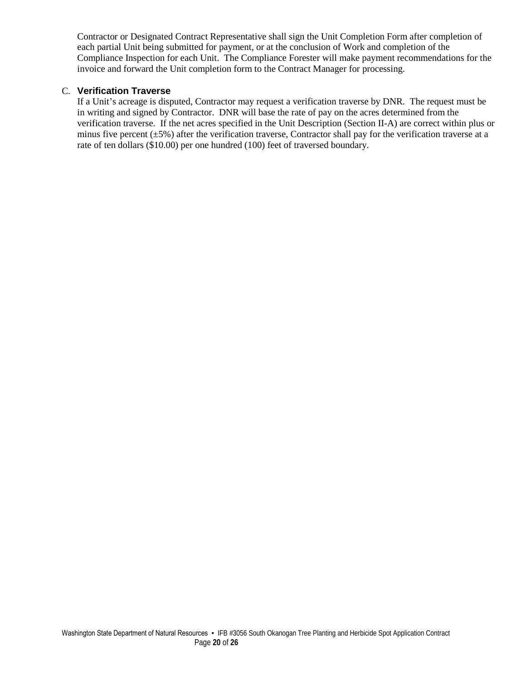Contractor or Designated Contract Representative shall sign the Unit Completion Form after completion of each partial Unit being submitted for payment, or at the conclusion of Work and completion of the Compliance Inspection for each Unit. The Compliance Forester will make payment recommendations for the invoice and forward the Unit completion form to the Contract Manager for processing.

#### C. **Verification Traverse**

If a Unit's acreage is disputed, Contractor may request a verification traverse by DNR. The request must be in writing and signed by Contractor. DNR will base the rate of pay on the acres determined from the verification traverse. If the net acres specified in the Unit Description (Section II-A) are correct within plus or minus five percent  $(\pm 5\%)$  after the verification traverse, Contractor shall pay for the verification traverse at a rate of ten dollars (\$10.00) per one hundred (100) feet of traversed boundary.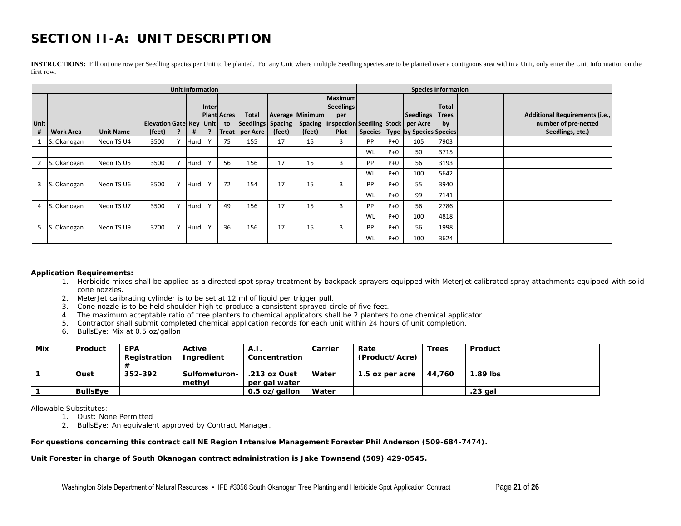## **SECTION II-A: UNIT DESCRIPTION**

**INSTRUCTIONS:** Fill out one row per Seedling species per Unit to be planted. For any Unit where multiple Seedling species are to be planted over a contiguous area within a Unit, only enter the Unit Information on the first row.

| <b>Unit Information</b><br><b>Species Information</b> |                  |                  |                                         |  |      |              |                                          |                                          |        |                                                    |                                                                                       |           |       |                                                                     |                                    |  |                                                                            |
|-------------------------------------------------------|------------------|------------------|-----------------------------------------|--|------|--------------|------------------------------------------|------------------------------------------|--------|----------------------------------------------------|---------------------------------------------------------------------------------------|-----------|-------|---------------------------------------------------------------------|------------------------------------|--|----------------------------------------------------------------------------|
| <b>Unit</b><br>#                                      | <b>Work Area</b> | <b>Unit Name</b> | Elevation Gate   Key   Unit  <br>(feet) |  | #    | <b>Inter</b> | <b>Plant Acres</b><br>to<br><b>Treat</b> | Total<br>Seedlings   Spacing<br>per Acre | (feet) | <b>Average Minimum</b><br><b>Spacing</b><br>(feet) | <b>Maximum</b><br><b>Seedlings</b><br>per<br><b>Inspection Seedling Stock</b><br>Plot |           |       | <b>Seedlings</b><br>per Acre<br>Species   Type   by Species Species | <b>Total</b><br><b>Trees</b><br>by |  | Additional Requirements (i.e.,<br>number of pre-netted<br>Seedlings, etc.) |
|                                                       | 1 S. Okanogan    | Neon TS U4       | 3500                                    |  | Hurd |              | 75                                       | 155                                      | 17     | 15                                                 | 3                                                                                     | PP        | $P+O$ | 105                                                                 | 7903                               |  |                                                                            |
|                                                       |                  |                  |                                         |  |      |              |                                          |                                          |        |                                                    |                                                                                       | WL        | $P+O$ | 50                                                                  | 3715                               |  |                                                                            |
| 2 S.                                                  | . Okanogan       | Neon TS U5       | 3500                                    |  | Hurd |              | 56                                       | 156                                      | 17     | 15                                                 | 3                                                                                     | <b>PP</b> | $P+O$ | 56                                                                  | 3193                               |  |                                                                            |
|                                                       |                  |                  |                                         |  |      |              |                                          |                                          |        |                                                    |                                                                                       | WL        | $P+O$ | 100                                                                 | 5642                               |  |                                                                            |
| $\overline{3}$                                        | . Okanogan       | Neon TS U6       | 3500                                    |  | Hurd |              | 72                                       | 154                                      | 17     | 15                                                 | 3                                                                                     | <b>PP</b> | $P+O$ | 55                                                                  | 3940                               |  |                                                                            |
|                                                       |                  |                  |                                         |  |      |              |                                          |                                          |        |                                                    |                                                                                       | WL        | $P+O$ | 99                                                                  | 7141                               |  |                                                                            |
| $4$ S.                                                | . Okanogan       | Neon TS U7       | 3500                                    |  | Hurd |              | 49                                       | 156                                      | 17     | 15                                                 | 3                                                                                     | <b>PP</b> | $P+O$ | 56                                                                  | 2786                               |  |                                                                            |
|                                                       |                  |                  |                                         |  |      |              |                                          |                                          |        |                                                    |                                                                                       | WL        | $P+O$ | 100                                                                 | 4818                               |  |                                                                            |
| $5$ $\overline{\phantom{1}}$ $\overline{\phantom{1}}$ | . Okanogan       | Neon TS U9       | 3700                                    |  | Hurd |              | 36                                       | 156                                      | 17     | 15                                                 | 3                                                                                     | <b>PP</b> | $P+O$ | 56                                                                  | 1998                               |  |                                                                            |
|                                                       |                  |                  |                                         |  |      |              |                                          |                                          |        |                                                    |                                                                                       | WL        | $P+O$ | 100                                                                 | 3624                               |  |                                                                            |

#### **Application Requirements:**

- 1. Herbicide mixes shall be applied as a directed spot spray treatment by backpack sprayers equipped with MeterJet calibrated spray attachments equipped with solid cone nozzles.
- 2. MeterJet calibrating cylinder is to be set at 12 ml of liquid per trigger pull.
- 3. Cone nozzle is to be held shoulder high to produce a consistent sprayed circle of five feet.
- 4. The maximum acceptable ratio of tree planters to chemical applicators shall be 2 planters to one chemical applicator.
- 5. Contractor shall submit completed chemical application records for each unit within 24 hours of unit completion.
- 6. BullsEye: Mix at 0.5 oz/gallon

| Mix | Product         | <b>EPA</b><br>Registration | Active<br>Ingredient     | A.I.<br>Concentration         | Carrier | Rate<br>(Product/Acre) | <b>Trees</b> | Product    |
|-----|-----------------|----------------------------|--------------------------|-------------------------------|---------|------------------------|--------------|------------|
|     | Oust            | 352-392                    | Sulfometuron-I<br>methyl | .213 oz Oust<br>per gal water | Water   | 1.5 oz per acre        | 44.760       | $1.89$ lbs |
|     | <b>BullsEve</b> |                            |                          | 0.5 oz/gallon                 | Water   |                        |              | .23 gal    |

Allowable Substitutes:

1. Oust: None Permitted

2. BullsEye: An equivalent approved by Contract Manager.

#### **For questions concerning this contract call NE Region Intensive Management Forester Phil Anderson (509-684-7474).**

#### **Unit Forester in charge of South Okanogan contract administration is Jake Townsend (509) 429-0545.**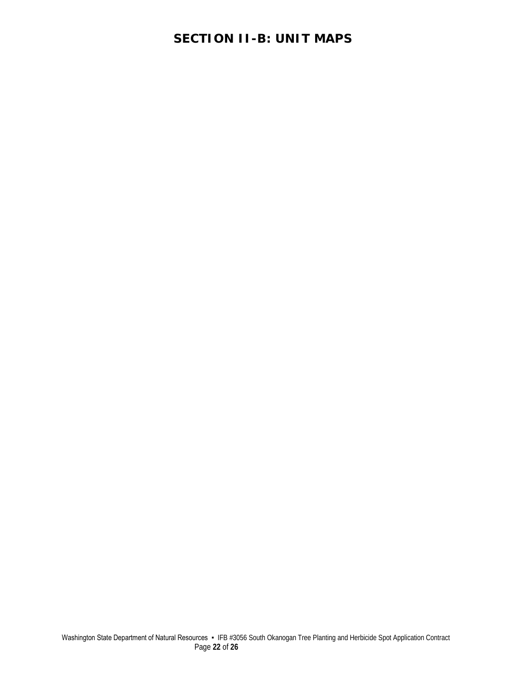## **SECTION II-B: UNIT MAPS**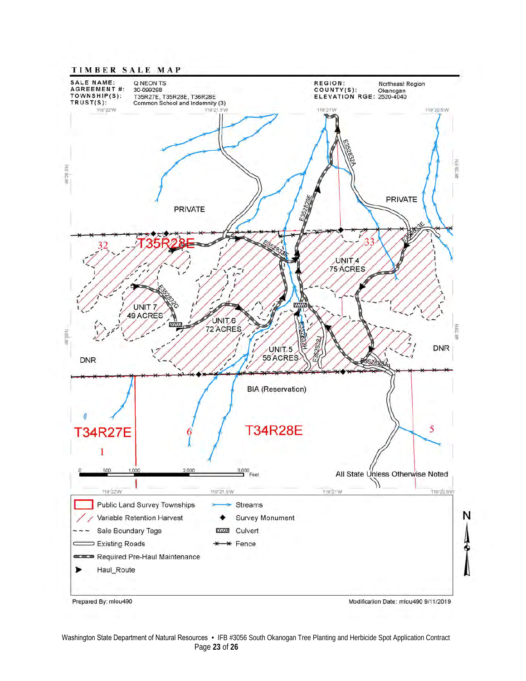

Washington State Department of Natural Resources • IFB #3056 South Okanogan Tree Planting and Herbicide Spot Application Contract Page **23** of **26**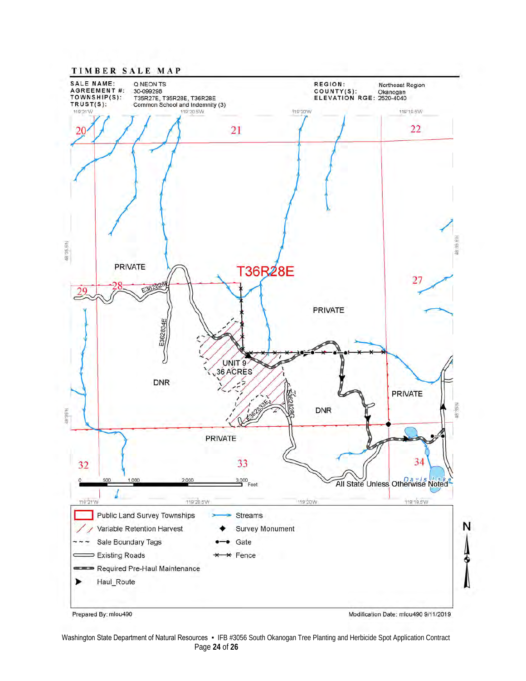

Prepared By: mlou490

Modification Date: mlou490 9/11/2019

Washington State Department of Natural Resources • IFB #3056 South Okanogan Tree Planting and Herbicide Spot Application Contract Page **24** of **26**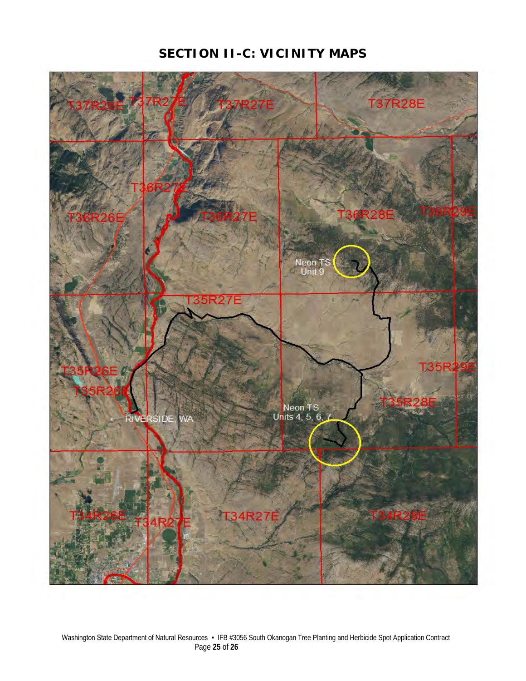## **SECTION II-C: VICINITY MAPS**

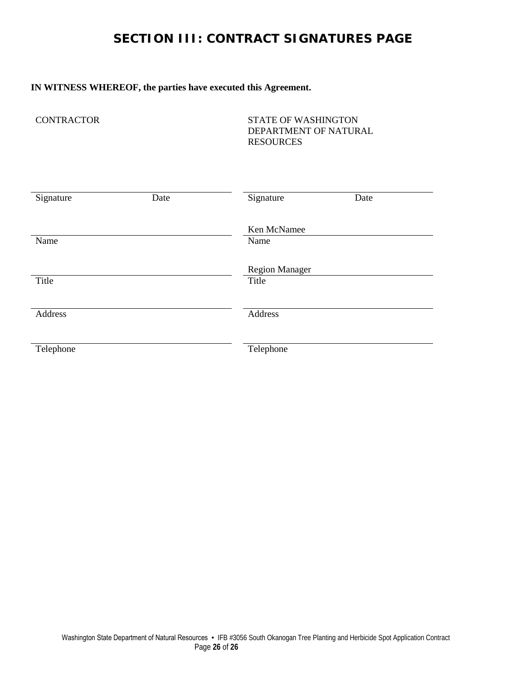## **SECTION III: CONTRACT SIGNATURES PAGE**

### **IN WITNESS WHEREOF, the parties have executed this Agreement.**

CONTRACTOR STATE OF WASHINGTON DEPARTMENT OF NATURAL RESOURCES

| Signature | Date | Signature             | Date |
|-----------|------|-----------------------|------|
|           |      | Ken McNamee           |      |
| Name      |      | Name                  |      |
|           |      | <b>Region Manager</b> |      |
| Title     |      | Title                 |      |
| Address   |      | Address               |      |
|           |      |                       |      |
| Telephone |      | Telephone             |      |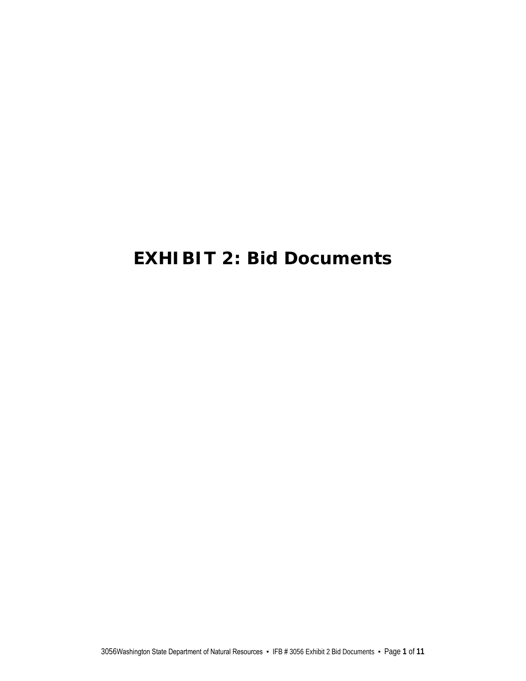# **EXHIBIT 2: Bid Documents**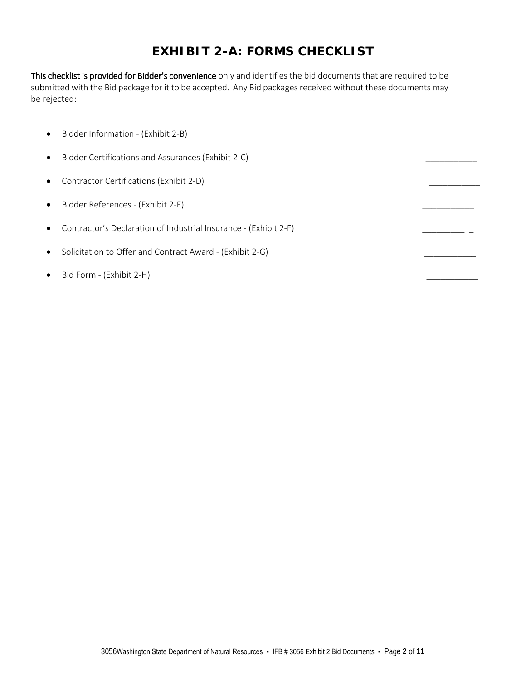## **EXHIBIT 2-A: FORMS CHECKLIST**

This checklist is provided for Bidder's convenience only and identifies the bid documents that are required to be submitted with the Bid package for it to be accepted. Any Bid packages received without these documents may be rejected:

| $\bullet$ | Bidder Information - (Exhibit 2-B)                               |  |
|-----------|------------------------------------------------------------------|--|
| $\bullet$ | Bidder Certifications and Assurances (Exhibit 2-C)               |  |
| $\bullet$ | Contractor Certifications (Exhibit 2-D)                          |  |
| $\bullet$ | Bidder References - (Exhibit 2-E)                                |  |
|           | Contractor's Declaration of Industrial Insurance - (Exhibit 2-F) |  |
|           | Solicitation to Offer and Contract Award - (Exhibit 2-G)         |  |
|           | Bid Form - (Exhibit 2-H)                                         |  |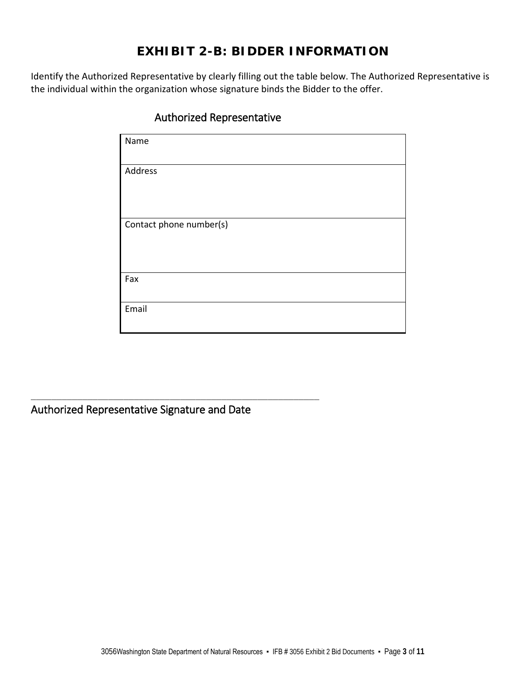## **EXHIBIT 2-B: BIDDER INFORMATION**

Identify the Authorized Representative by clearly filling out the table below. The Authorized Representative is the individual within the organization whose signature binds the Bidder to the offer.

| Name                    |
|-------------------------|
|                         |
| Address                 |
|                         |
|                         |
| Contact phone number(s) |
|                         |
|                         |
| Fax                     |
|                         |
| Email                   |
|                         |

### Authorized Representative

Authorized Representative Signature and Date

\_\_\_\_\_\_\_\_\_\_\_\_\_\_\_\_\_\_\_\_\_\_\_\_\_\_\_\_\_\_\_\_\_\_\_\_\_\_\_\_\_\_\_\_\_\_\_\_\_\_\_\_\_\_\_\_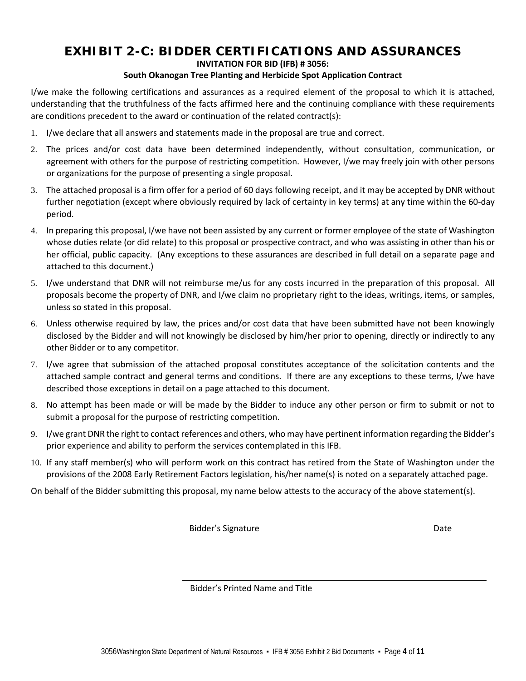## **EXHIBIT 2-C: BIDDER CERTIFICATIONS AND ASSURANCES**

#### **INVITATION FOR BID (IFB) # 3056:**

#### **South Okanogan Tree Planting and Herbicide Spot Application Contract**

I/we make the following certifications and assurances as a required element of the proposal to which it is attached, understanding that the truthfulness of the facts affirmed here and the continuing compliance with these requirements are conditions precedent to the award or continuation of the related contract(s):

- 1. I/we declare that all answers and statements made in the proposal are true and correct.
- 2. The prices and/or cost data have been determined independently, without consultation, communication, or agreement with others for the purpose of restricting competition. However, I/we may freely join with other persons or organizations for the purpose of presenting a single proposal.
- 3. The attached proposal is a firm offer for a period of 60 days following receipt, and it may be accepted by DNR without further negotiation (except where obviously required by lack of certainty in key terms) at any time within the 60-day period.
- 4. In preparing this proposal, I/we have not been assisted by any current or former employee of the state of Washington whose duties relate (or did relate) to this proposal or prospective contract, and who was assisting in other than his or her official, public capacity. (Any exceptions to these assurances are described in full detail on a separate page and attached to this document.)
- 5. I/we understand that DNR will not reimburse me/us for any costs incurred in the preparation of this proposal. All proposals become the property of DNR, and I/we claim no proprietary right to the ideas, writings, items, or samples, unless so stated in this proposal.
- 6. Unless otherwise required by law, the prices and/or cost data that have been submitted have not been knowingly disclosed by the Bidder and will not knowingly be disclosed by him/her prior to opening, directly or indirectly to any other Bidder or to any competitor.
- 7. I/we agree that submission of the attached proposal constitutes acceptance of the solicitation contents and the attached sample contract and general terms and conditions. If there are any exceptions to these terms, I/we have described those exceptions in detail on a page attached to this document.
- 8. No attempt has been made or will be made by the Bidder to induce any other person or firm to submit or not to submit a proposal for the purpose of restricting competition.
- 9. I/we grant DNR the right to contact references and others, who may have pertinent information regarding the Bidder's prior experience and ability to perform the services contemplated in this IFB.
- 10. If any staff member(s) who will perform work on this contract has retired from the State of Washington under the provisions of the 2008 Early Retirement Factors legislation, his/her name(s) is noted on a separately attached page.

On behalf of the Bidder submitting this proposal, my name below attests to the accuracy of the above statement(s).

Bidder's Signature Date Date

Bidder's Printed Name and Title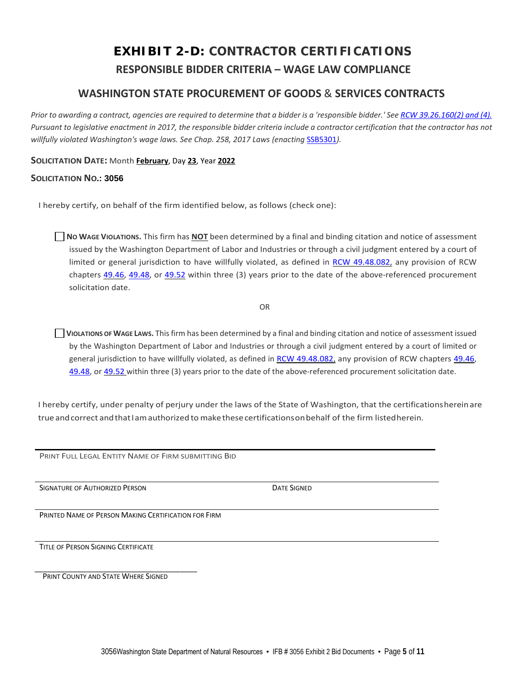## **EXHIBIT 2-D: CONTRACTOR CERTIFICATIONS RESPONSIBLE BIDDER CRITERIA – WAGE LAW COMPLIANCE**

### **WASHINGTON STATE PROCUREMENT OF GOODS** & **SERVICES CONTRACTS**

*Prior to awarding a contract, agencies are required to determine that a bidder is a 'responsible bidder.' Se[e RCW 39.26.160\(2\) and \(4\).](http://apps.leg.wa.gov/Rcw/default.aspx?cite=39.26) Pursuant to legislative enactment in 2017, the responsible bidder criteria include a contractor certification that the contractor has not*  willfully violated Washington's wage laws. See Chap. 258, 2017 Laws (enacting *[SSB5301](http://lawfilesext.leg.wa.gov/biennium/2017-18/Pdf/Bills/Session%20Laws/Senate/5301-S.SL.pdf)*).

#### **SOLICITATION DATE:** Month **February**, Day **23**, Year **2022**

#### **SOLICITATION NO.: 3056**

I hereby certify, on behalf of the firm identified below, as follows (check one):

**NO WAGE VIOLATIONS.** This firm has **NOT** been determined by a final and binding citation and notice of assessment issued by the Washington Department of Labor and Industries or through a civil judgment entered by a court of limited or general jurisdiction to have willfully violated, as defined in [RCW 49.48.082,](http://app.leg.wa.gov/RCW/default.aspx?cite=49.48.082) any provision of RCW chapters [49.46,](http://app.leg.wa.gov/RCW/default.aspx?cite=49.46) [49.48,](http://app.leg.wa.gov/RCW/default.aspx?cite=49.48) or [49.52](http://app.leg.wa.gov/RCW/default.aspx?cite=49.52) within three (3) years prior to the date of the above-referenced procurement solicitation date.

OR

**VIOLATIONS OF WAGE LAWS.** This firm has been determined by a final and binding citation and notice of assessment issued by the Washington Department of Labor and Industries or through a civil judgment entered by a court of limited or general jurisdiction to have willfully violated, as defined in [RCW 49.48.082,](http://app.leg.wa.gov/RCW/default.aspx?cite=49.48.082) any provision of RCW chapters [49.46,](http://app.leg.wa.gov/RCW/default.aspx?cite=49.46) [49.48,](http://app.leg.wa.gov/RCW/default.aspx?cite=49.48) or [49.52](http://app.leg.wa.gov/RCW/default.aspx?cite=49.52) within three (3) years prior to the date of the above-referenced procurement solicitation date.

I hereby certify, under penalty of perjury under the laws of the State of Washington, that the certificationshereinare true and correct and that I am authorized to make these certifications on behalf of the firm listed herein.

PRINT FULL LEGAL ENTITY NAME OF FIRM SUBMITTING BID

SIGNATURE OF AUTHORIZED PERSON **Example 20 SIGNATURE OF AUTHORIZED PERSON** 

PRINTED NAME OF PERSON MAKING CERTIFICATION FOR FIRM

TITLE OF PERSON SIGNING CERTIFICATE

\_\_\_\_\_\_\_\_\_\_\_\_\_\_\_\_\_\_\_\_\_\_\_\_\_\_\_\_\_\_\_\_\_\_\_\_\_\_ PRINT COUNTY AND STATE WHERE SIGNED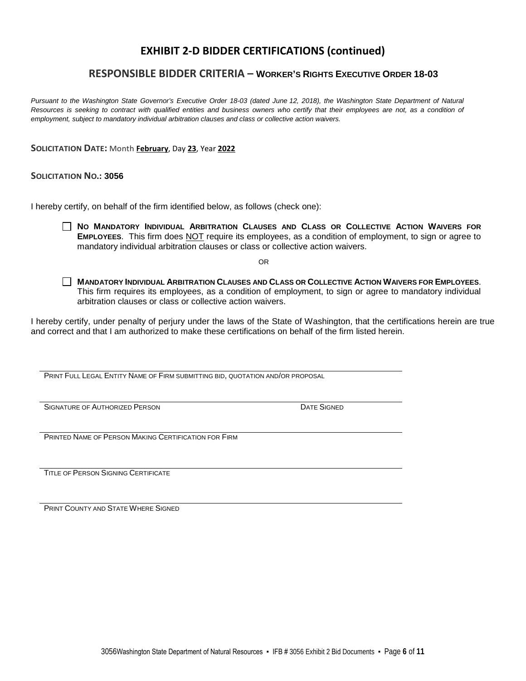### **EXHIBIT 2-D BIDDER CERTIFICATIONS (continued)**

### **RESPONSIBLE BIDDER CRITERIA – WORKER'S RIGHTS EXECUTIVE ORDER 18-03**

*Pursuant to the Washington State Governor's Executive Order 18-03 (dated June 12, 2018), the Washington State Department of Natural*  Resources is seeking to contract with qualified entities and business owners who certify that their employees are not, as a condition of *employment, subject to mandatory individual arbitration clauses and class or collective action waivers.*

**SOLICITATION DATE:** Month **February**, Day **23**, Year **2022**

#### **SOLICITATION NO.: 3056**

I hereby certify, on behalf of the firm identified below, as follows (check one):

 **NO MANDATORY INDIVIDUAL ARBITRATION CLAUSES AND CLASS OR COLLECTIVE ACTION WAIVERS FOR EMPLOYEES**. This firm does NOT require its employees, as a condition of employment, to sign or agree to mandatory individual arbitration clauses or class or collective action waivers.

OR

 **MANDATORY INDIVIDUAL ARBITRATION CLAUSES AND CLASS OR COLLECTIVE ACTION WAIVERS FOR EMPLOYEES**. This firm requires its employees, as a condition of employment, to sign or agree to mandatory individual arbitration clauses or class or collective action waivers.

I hereby certify, under penalty of perjury under the laws of the State of Washington, that the certifications herein are true and correct and that I am authorized to make these certifications on behalf of the firm listed herein.

PRINT FULL LEGAL ENTITY NAME OF FIRM SUBMITTING BID, QUOTATION AND/OR PROPOSAL

SIGNATURE OF AUTHORIZED PERSON **Example 2008** DATE SIGNED

PRINTED NAME OF PERSON MAKING CERTIFICATION FOR FIRM

TITLE OF PERSON SIGNING CERTIFICATE

**PRINT COUNTY AND STATE WHERE SIGNED**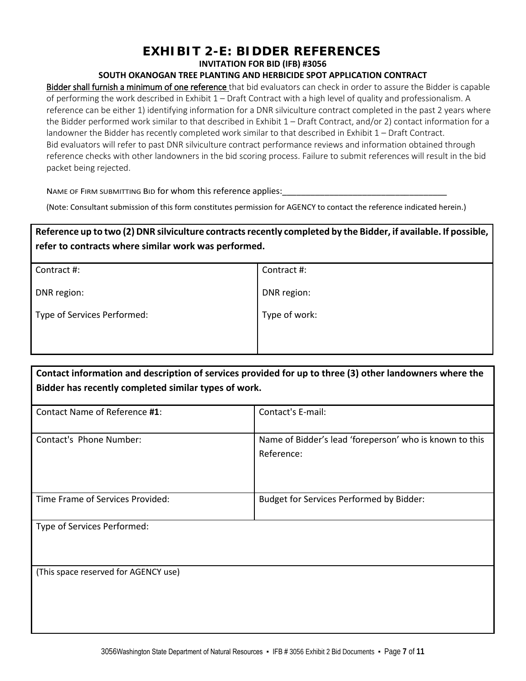## **EXHIBIT 2-E: BIDDER REFERENCES**

**INVITATION FOR BID (IFB) #3056**

#### **SOUTH OKANOGAN TREE PLANTING AND HERBICIDE SPOT APPLICATION CONTRACT**

Bidder shall furnish a minimum of one reference that bid evaluators can check in order to assure the Bidder is capable of performing the work described in Exhibit 1 – Draft Contract with a high level of quality and professionalism. A reference can be either 1) identifying information for a DNR silviculture contract completed in the past 2 years where the Bidder performed work similar to that described in Exhibit 1 – Draft Contract, and/or 2) contact information for a landowner the Bidder has recently completed work similar to that described in Exhibit 1 – Draft Contract. Bid evaluators will refer to past DNR silviculture contract performance reviews and information obtained through reference checks with other landowners in the bid scoring process. Failure to submit references will result in the bid packet being rejected.

NAME OF FIRM SUBMITTING BID for whom this reference applies:

(Note: Consultant submission of this form constitutes permission for AGENCY to contact the reference indicated herein.)

### **Reference up to two (2) DNR silviculture contracts recently completed by the Bidder, if available. If possible, refer to contracts where similar work was performed.**

| Contract #:   |
|---------------|
| DNR region:   |
| Type of work: |
|               |
|               |

| Contact information and description of services provided for up to three (3) other landowners where the |
|---------------------------------------------------------------------------------------------------------|
| Bidder has recently completed similar types of work.                                                    |

| Contact Name of Reference #1:        | Contact's E-mail:                                                     |
|--------------------------------------|-----------------------------------------------------------------------|
| Contact's Phone Number:              | Name of Bidder's lead 'foreperson' who is known to this<br>Reference: |
| Time Frame of Services Provided:     | Budget for Services Performed by Bidder:                              |
| Type of Services Performed:          |                                                                       |
| (This space reserved for AGENCY use) |                                                                       |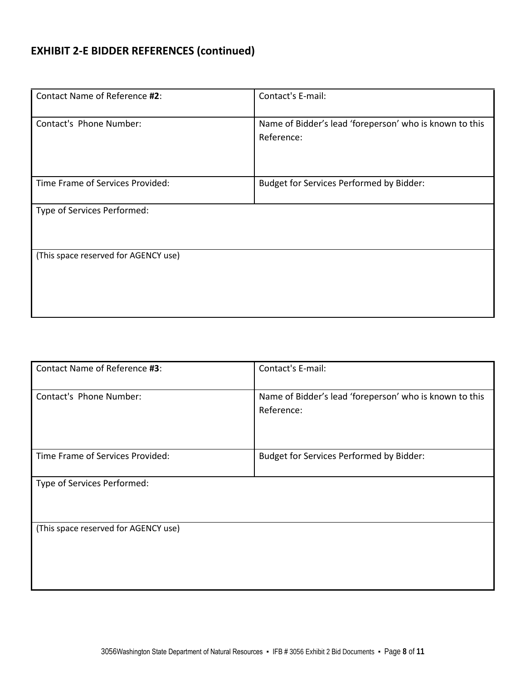## **EXHIBIT 2-E BIDDER REFERENCES (continued)**

| Contact Name of Reference #2:        | Contact's E-mail:                                                     |
|--------------------------------------|-----------------------------------------------------------------------|
| Contact's Phone Number:              | Name of Bidder's lead 'foreperson' who is known to this<br>Reference: |
| Time Frame of Services Provided:     | Budget for Services Performed by Bidder:                              |
| Type of Services Performed:          |                                                                       |
| (This space reserved for AGENCY use) |                                                                       |

| Contact Name of Reference #3:        | Contact's E-mail:                                                     |
|--------------------------------------|-----------------------------------------------------------------------|
| Contact's Phone Number:              | Name of Bidder's lead 'foreperson' who is known to this<br>Reference: |
| Time Frame of Services Provided:     | Budget for Services Performed by Bidder:                              |
| Type of Services Performed:          |                                                                       |
| (This space reserved for AGENCY use) |                                                                       |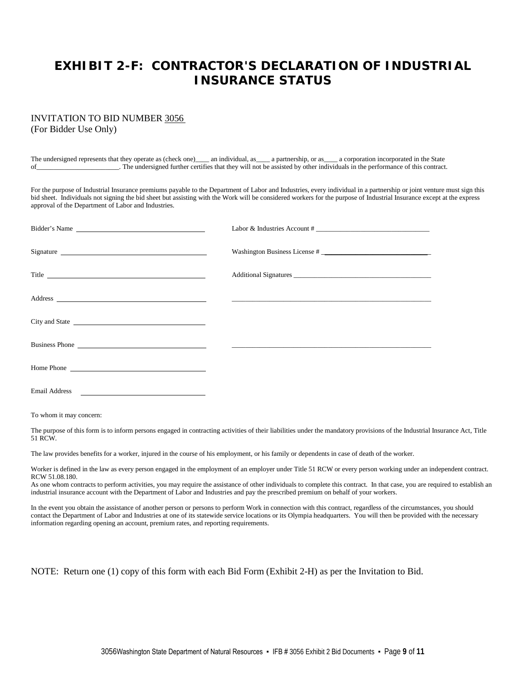## **EXHIBIT 2-F: CONTRACTOR'S DECLARATION OF INDUSTRIAL INSURANCE STATUS**

## INVITATION TO BID NUMBER 3056

(For Bidder Use Only)

The undersigned represents that they operate as (check one)\_\_\_\_ an individual, as\_\_\_\_ a partnership, or as\_\_\_\_ a corporation incorporated in the State of\_\_\_\_\_\_\_\_\_\_\_\_\_\_\_\_\_\_\_\_\_\_\_\_. The undersigned further certifies that they will not be assisted by other individuals in the performance of this contract.

For the purpose of Industrial Insurance premiums payable to the Department of Labor and Industries, every individual in a partnership or joint venture must sign this bid sheet. Individuals not signing the bid sheet but assisting with the Work will be considered workers for the purpose of Industrial Insurance except at the express approval of the Department of Labor and Industries.

| Bidder's Name        | Labor & Industries Account #  |
|----------------------|-------------------------------|
| Signature            | Washington Business License # |
| Title                |                               |
|                      |                               |
|                      |                               |
|                      |                               |
|                      |                               |
| <b>Email Address</b> |                               |

To whom it may concern:

The purpose of this form is to inform persons engaged in contracting activities of their liabilities under the mandatory provisions of the Industrial Insurance Act, Title 51 RCW.

The law provides benefits for a worker, injured in the course of his employment, or his family or dependents in case of death of the worker.

Worker is defined in the law as every person engaged in the employment of an employer under Title 51 RCW or every person working under an independent contract. RCW 51.08.180.

As one whom contracts to perform activities, you may require the assistance of other individuals to complete this contract. In that case, you are required to establish an industrial insurance account with the Department of Labor and Industries and pay the prescribed premium on behalf of your workers.

In the event you obtain the assistance of another person or persons to perform Work in connection with this contract, regardless of the circumstances, you should contact the Department of Labor and Industries at one of its statewide service locations or its Olympia headquarters. You will then be provided with the necessary information regarding opening an account, premium rates, and reporting requirements.

NOTE: Return one (1) copy of this form with each Bid Form (Exhibit 2-H) as per the Invitation to Bid.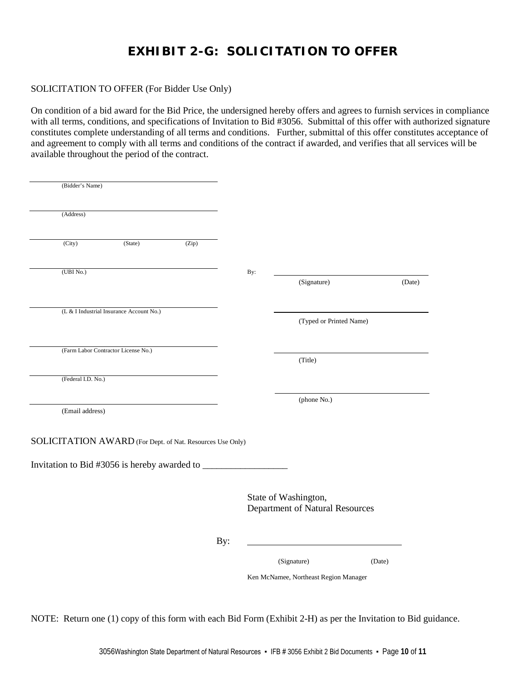## **EXHIBIT 2-G: SOLICITATION TO OFFER**

#### SOLICITATION TO OFFER (For Bidder Use Only)

On condition of a bid award for the Bid Price, the undersigned hereby offers and agrees to furnish services in compliance with all terms, conditions, and specifications of Invitation to Bid #3056. Submittal of this offer with authorized signature constitutes complete understanding of all terms and conditions. Further, submittal of this offer constitutes acceptance of and agreement to comply with all terms and conditions of the contract if awarded, and verifies that all services will be available throughout the period of the contract.

| (Bidder's Name)                                           |                                          |       |     |                                                         |                                       |        |        |
|-----------------------------------------------------------|------------------------------------------|-------|-----|---------------------------------------------------------|---------------------------------------|--------|--------|
| (Address)                                                 |                                          |       |     |                                                         |                                       |        |        |
|                                                           |                                          |       |     |                                                         |                                       |        |        |
| (City)                                                    | (State)                                  | (Zip) |     |                                                         |                                       |        |        |
| (UBINo.)                                                  |                                          |       | By: |                                                         |                                       |        |        |
|                                                           |                                          |       |     |                                                         | (Signature)                           |        | (Date) |
|                                                           | (L & I Industrial Insurance Account No.) |       |     |                                                         |                                       |        |        |
|                                                           |                                          |       |     |                                                         | (Typed or Printed Name)               |        |        |
|                                                           | (Farm Labor Contractor License No.)      |       |     |                                                         | (Title)                               |        |        |
| (Federal I.D. No.)                                        |                                          |       |     |                                                         |                                       |        |        |
|                                                           |                                          |       |     |                                                         | (phone No.)                           |        |        |
| (Email address)                                           |                                          |       |     |                                                         |                                       |        |        |
| SOLICITATION AWARD (For Dept. of Nat. Resources Use Only) |                                          |       |     |                                                         |                                       |        |        |
|                                                           |                                          |       |     |                                                         |                                       |        |        |
|                                                           |                                          |       |     | State of Washington,<br>Department of Natural Resources |                                       |        |        |
|                                                           |                                          |       | By: |                                                         |                                       |        |        |
|                                                           |                                          |       |     |                                                         | (Signature)                           | (Date) |        |
|                                                           |                                          |       |     |                                                         | Ken McNamee, Northeast Region Manager |        |        |

NOTE: Return one (1) copy of this form with each Bid Form (Exhibit 2-H) as per the Invitation to Bid guidance.